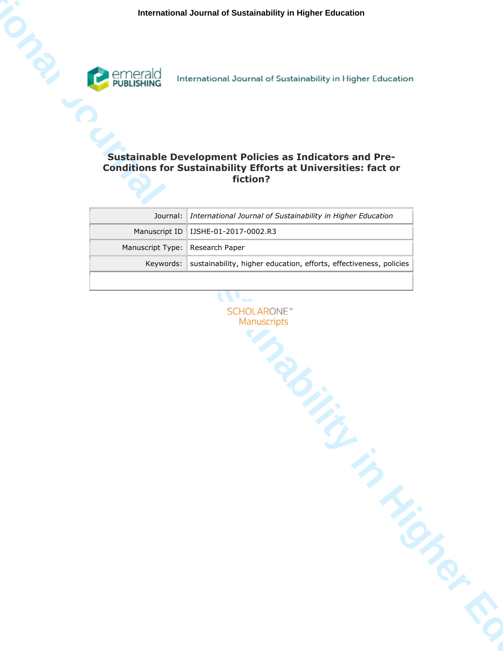

# **Conditions for Sustainability Efforts at Universities: fact or fiction?**

|                                   | International Journal of Sustainability in Higher Education                                                                                  |
|-----------------------------------|----------------------------------------------------------------------------------------------------------------------------------------------|
|                                   |                                                                                                                                              |
|                                   |                                                                                                                                              |
| emerald<br>PUBLISHING             | International Journal of Sustainability in Higher Education                                                                                  |
|                                   |                                                                                                                                              |
|                                   |                                                                                                                                              |
|                                   | Sustainable Development Policies as Indicators and Pre-<br><b>Conditions for Sustainability Efforts at Universities: fact or</b><br>fiction? |
|                                   |                                                                                                                                              |
| Journal:                          | $ $ International Journal of Sustainability in Higher Education                                                                              |
| Manuscript ID                     | IJSHE-01-2017-0002.R3                                                                                                                        |
| Manuscript Type:   Research Paper | Keywords: sustainability, higher education, efforts, effectiveness, policies                                                                 |
|                                   |                                                                                                                                              |
|                                   |                                                                                                                                              |
|                                   |                                                                                                                                              |

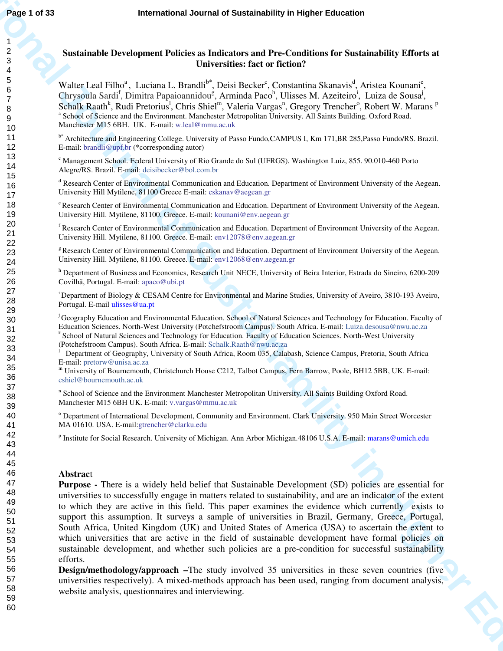# **Sustainable Development Policies as Indicators and Pre-Conditions for Sustainability Efforts at Universities: fact or fiction?**

Walter Leal Filho<sup>a</sup>, Luciana L. Brandli<sup>b\*</sup>, Deisi Becker<sup>c</sup>, Constantina Skanavis<sup>d</sup>, Aristea Kounani<sup>e</sup>, Chrysoula Sardi<sup>f</sup>, Dimitra Papaioannidou<sup>g</sup>, Arminda Paco<sup>h</sup>, Ulisses M. Azeiteiro<sup>i</sup>, Luiza de Sousa<sup>j</sup>, Schalk Raath<sup>k</sup>, Rudi Pretorius<sup>1</sup>, Chris Shiel<sup>m</sup>, Valeria Vargas<sup>n</sup>, Gregory Trencher<sup>o</sup>, Robert W. Marans<sup>p</sup> <sup>a</sup> School of Science and the Environment. Manchester Metropolitan University. All Saints Building. Oxford Road. Manchester M15 6BH. UK. E-mail: w.leal@mmu.ac.uk

<sup>b\*</sup> Architecture and Engineering College. University of Passo Fundo,CAMPUS I, Km 171,BR 285,Passo Fundo/RS. Brazil. E-mail: brandli@upf.br (\*corresponding autor)

<sup>c</sup> Management School. Federal University of Rio Grande do Sul (UFRGS). Washington Luiz, 855. 90.010-460 Porto Alegre/RS. Brazil. E-mail: deisibecker@bol.com.br

<sup>d</sup> Research Center of Environmental Communication and Education. Department of Environment University of the Aegean. University Hill Mytilene, 81100 Greece E-mail: cskanav@aegean.gr

<sup>e</sup>Research Center of Environmental Communication and Education. Department of Environment University of the Aegean. University Hill. Mytilene, 81100. Greece. E-mail: kounani@env.aegean.gr

<sup>f</sup> Research Center of Environmental Communication and Education. Department of Environment University of the Aegean. University Hill. Mytilene, 81100. Greece. E-mail: env12078@env.aegean.gr

<sup>g</sup>Research Center of Environmental Communication and Education. Department of Environment University of the Aegean. University Hill. Mytilene, 81100. Greece. E-mail: env12068@env.aegean.gr

<sup>h</sup> Department of Business and Economics, Research Unit NECE, University of Beira Interior, Estrada do Sineiro, 6200-209 Covilhã, Portugal. E-mail: apaco@ubi.pt

<sup>i</sup>Department of Biology & CESAM Centre for Environmental and Marine Studies, University of Aveiro, 3810-193 Aveiro, Portugal. E-mail ulisses@ua.pt

<sup>j</sup> Geography Education and Environmental Education. School of Natural Sciences and Technology for Education. Faculty of Education Sciences. North-West University (Potchefstroom Campus). South Africa. E-mail: Luiza.desousa@nwu.ac.za <sup>k</sup> School of Natural Sciences and Technology for Education. Faculty of Education Sciences. North-West University (Potchefstroom Campus). South Africa. E-mail: Schalk.Raath@nwu.ac.za

l Department of Geography, University of South Africa, Room 035, Calabash, Science Campus, Pretoria, South Africa E-mail: pretorw@unisa.ac.za

m University of Bournemouth, Christchurch House C212, Talbot Campus, Fern Barrow, Poole, BH12 5BB, UK. E-mail: cshiel@bournemouth.ac.uk

<sup>n</sup> School of Science and the Environment Manchester Metropolitan University. All Saints Building Oxford Road. Manchester M15 6BH UK. E-mail: v.vargas@mmu.ac.uk

<sup>o</sup> Department of International Development, Community and Environment. Clark University. 950 Main Street Worcester MA 01610. USA. E-mail:gtrencher@clarku.edu

<sup>p</sup> Institute for Social Research. University of Michigan. Ann Arbor Michigan.48106 U.S.A. E-mail: marans@umich.edu

# **Abstrac**t

**Page 1 of 33**<br> **International Journal of Sustainability in Higher Education**<br> **I** Analysis Constrained Precision Constrained President Constrained President Constrained President Constrained President Constrained Preside **Purpose -** There is a widely held belief that Sustainable Development (SD) policies are essential for universities to successfully engage in matters related to sustainability, and are an indicator of the extent to which they are active in this field. This paper examines the evidence which currently exists to support this assumption. It surveys a sample of universities in Brazil, Germany, Greece, Portugal, South Africa, United Kingdom (UK) and United States of America (USA) to ascertain the extent to which universities that are active in the field of sustainable development have formal policies on sustainable development, and whether such policies are a pre-condition for successful sustainability efforts.

**Design/methodology/approach** –The study involved 35 universities in these seven countries (five universities respectively). A mixed-methods approach has been used, ranging from document analysis, website analysis, questionnaires and interviewing.

60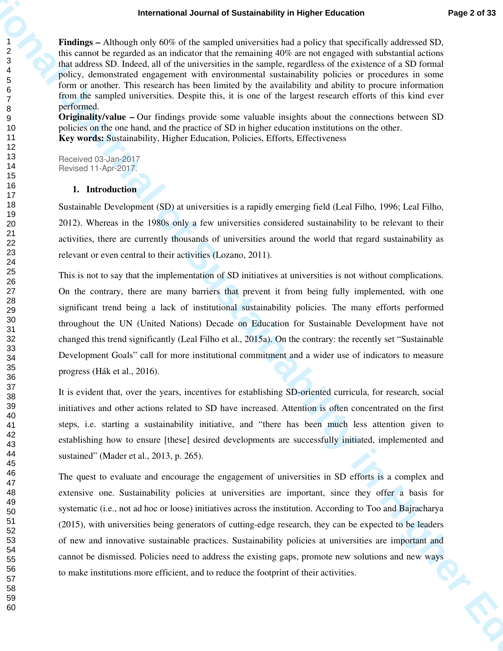#### **International Journal of Sustainability in Higher Education Page 2 of 33**

**Findings –** Although only 60% of the sampled universities had a policy that specifically addressed SD, this cannot be regarded as an indicator that the remaining 40% are not engaged with substantial actions that address SD. Indeed, all of the universities in the sample, regardless of the existence of a SD formal policy, demonstrated engagement with environmental sustainability policies or procedures in some form or another. This research has been limited by the availability and ability to procure information from the sampled universities. Despite this, it is one of the largest research efforts of this kind ever performed.

**Originality/value –** Our findings provide some valuable insights about the connections between SD policies on the one hand, and the practice of SD in higher education institutions on the other. **Key words:** Sustainability, Higher Education, Policies, Efforts, Effectiveness

Received 03-Jan-2017 Revised 11-Apr-2017.

#### **1. Introduction**

Sustainable Development (SD) at universities is a rapidly emerging field (Leal Filho, 1996; Leal Filho, 2012). Whereas in the 1980s only a few universities considered sustainability to be relevant to their activities, there are currently thousands of universities around the world that regard sustainability as relevant or even central to their activities (Lozano, 2011).

This is not to say that the implementation of SD initiatives at universities is not without complications. On the contrary, there are many barriers that prevent it from being fully implemented, with one significant trend being a lack of institutional sustainability policies. The many efforts performed throughout the UN (United Nations) Decade on Education for Sustainable Development have not changed this trend significantly (Leal Filho et al., 2015a). On the contrary: the recently set "Sustainable Development Goals" call for more institutional commitment and a wider use of indicators to measure progress (Hák et al., 2016).

It is evident that, over the years, incentives for establishing SD-oriented curricula, for research, social initiatives and other actions related to SD have increased. Attention is often concentrated on the first steps, i.e. starting a sustainability initiative, and "there has been much less attention given to establishing how to ensure [these] desired developments are successfully initiated, implemented and sustained" (Mader et al., 2013, p. 265).

**International Journal of Sustainability in Higher Education**<br> **In the conditional Adventure of the sample inner condition and in profit that provide the sample condition and<br>**  $\frac{2}{5}$  **in the condition and the sample in t** The quest to evaluate and encourage the engagement of universities in SD efforts is a complex and extensive one. Sustainability policies at universities are important, since they offer a basis for systematic (i.e., not ad hoc or loose) initiatives across the institution. According to Too and Bajracharya (2015), with universities being generators of cutting-edge research, they can be expected to be leaders of new and innovative sustainable practices. Sustainability policies at universities are important and cannot be dismissed. Policies need to address the existing gaps, promote new solutions and new ways to make institutions more efficient, and to reduce the footprint of their activities.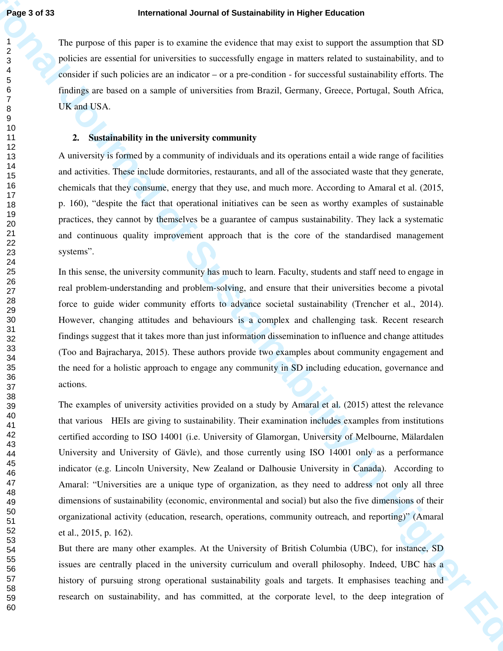The purpose of this paper is to examine the evidence that may exist to support the assumption that SD policies are essential for universities to successfully engage in matters related to sustainability, and to consider if such policies are an indicator – or a pre-condition - for successful sustainability efforts. The findings are based on a sample of universities from Brazil, Germany, Greece, Portugal, South Africa, UK and USA.

#### **2. Sustainability in the university community**

A university is formed by a community of individuals and its operations entail a wide range of facilities and activities. These include dormitories, restaurants, and all of the associated waste that they generate, chemicals that they consume, energy that they use, and much more. According to Amaral et al. (2015, p. 160), "despite the fact that operational initiatives can be seen as worthy examples of sustainable practices, they cannot by themselves be a guarantee of campus sustainability. They lack a systematic and continuous quality improvement approach that is the core of the standardised management systems".

In this sense, the university community has much to learn. Faculty, students and staff need to engage in real problem-understanding and problem-solving, and ensure that their universities become a pivotal force to guide wider community efforts to advance societal sustainability (Trencher et al., 2014). However, changing attitudes and behaviours is a complex and challenging task. Recent research findings suggest that it takes more than just information dissemination to influence and change attitudes (Too and Bajracharya, 2015). These authors provide two examples about community engagement and the need for a holistic approach to engage any community in SD including education, governance and actions.

**Page 1643 1641**<br> **Interpreter controlled the properties and the seamulated state and many collect the anomalous computer of the properties and the seamulated the seamulated by the seamulated by the seamulated by the seam** The examples of university activities provided on a study by Amaral et al. (2015) attest the relevance that various HEIs are giving to sustainability. Their examination includes examples from institutions certified according to ISO 14001 (i.e. University of Glamorgan, University of Melbourne, Mälardalen University and University of Gävle), and those currently using ISO 14001 only as a performance indicator (e.g. Lincoln University, New Zealand or Dalhousie University in Canada). According to Amaral: "Universities are a unique type of organization, as they need to address not only all three dimensions of sustainability (economic, environmental and social) but also the five dimensions of their organizational activity (education, research, operations, community outreach, and reporting)" (Amaral et al., 2015, p. 162).

But there are many other examples. At the University of British Columbia (UBC), for instance, SD issues are centrally placed in the university curriculum and overall philosophy. Indeed, UBC has a history of pursuing strong operational sustainability goals and targets. It emphasises teaching and research on sustainability, and has committed, at the corporate level, to the deep integration of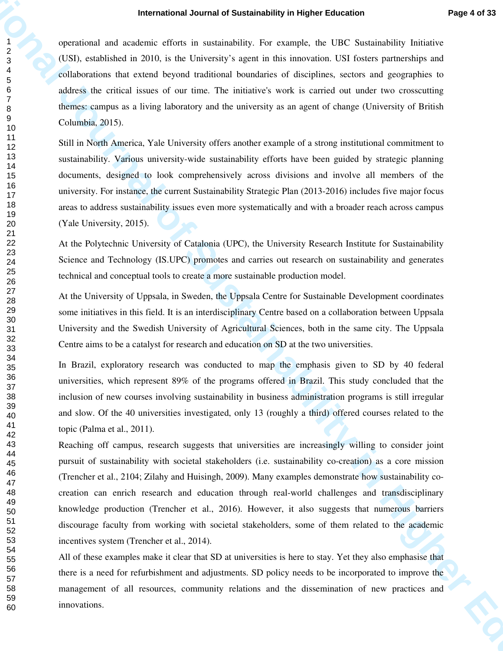operational and academic efforts in sustainability. For example, the UBC Sustainability Initiative (USI), established in 2010, is the University's agent in this innovation. USI fosters partnerships and collaborations that extend beyond traditional boundaries of disciplines, sectors and geographies to address the critical issues of our time. The initiative's work is carried out under two crosscutting themes: campus as a living laboratory and the university as an agent of change (University of British Columbia, 2015).

Still in North America, Yale University offers another example of a strong institutional commitment to sustainability. Various university-wide sustainability efforts have been guided by strategic planning documents, designed to look comprehensively across divisions and involve all members of the university. For instance, the current Sustainability Strategic Plan (2013-2016) includes five major focus areas to address sustainability issues even more systematically and with a broader reach across campus (Yale University, 2015).

At the Polytechnic University of Catalonia (UPC), the University Research Institute for Sustainability Science and Technology (IS.UPC) promotes and carries out research on sustainability and generates technical and conceptual tools to create a more sustainable production model.

At the University of Uppsala, in Sweden, the Uppsala Centre for Sustainable Development coordinates some initiatives in this field. It is an interdisciplinary Centre based on a collaboration between Uppsala University and the Swedish University of Agricultural Sciences, both in the same city. The Uppsala Centre aims to be a catalyst for research and education on SD at the two universities.

In Brazil, exploratory research was conducted to map the emphasis given to SD by 40 federal universities, which represent 89% of the programs offered in Brazil. This study concluded that the inclusion of new courses involving sustainability in business administration programs is still irregular and slow. Of the 40 universities investigated, only 13 (roughly a third) offered courses related to the topic (Palma et al., 2011).

**International Journal of Sustainability in Higher Education**<br> **International substitute in solution** (**i**) in the simulation (**i**) is the complete in the international of the complete information (**i**) is the complete inf Reaching off campus, research suggests that universities are increasingly willing to consider joint pursuit of sustainability with societal stakeholders (i.e. sustainability co-creation) as a core mission (Trencher et al., 2104; Zilahy and Huisingh, 2009). Many examples demonstrate how sustainability cocreation can enrich research and education through real-world challenges and transdisciplinary knowledge production (Trencher et al., 2016). However, it also suggests that numerous barriers discourage faculty from working with societal stakeholders, some of them related to the academic incentives system (Trencher et al., 2014).

All of these examples make it clear that SD at universities is here to stay. Yet they also emphasise that there is a need for refurbishment and adjustments. SD policy needs to be incorporated to improve the management of all resources, community relations and the dissemination of new practices and innovations.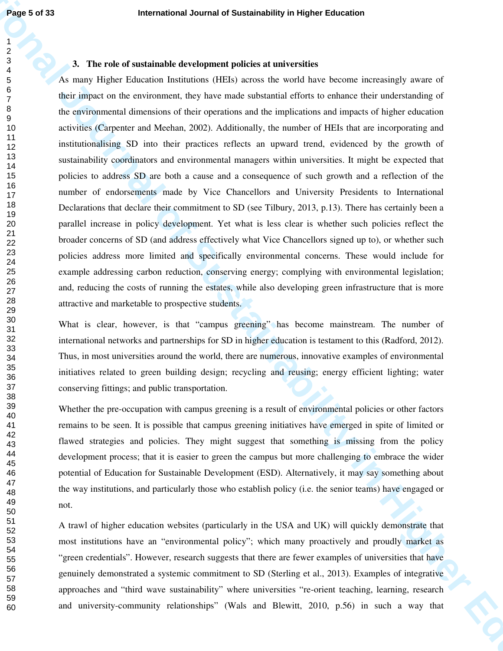# **3. The role of sustainable development policies at universities**

**Page 5 of 33**<br> **International Journal of Sustainability in Higher Education**<br> **I** A The role of number development publishs at universities connective tensoring process of<br>  $\frac{2}{5}$  A variety Higher tensorion to their o As many Higher Education Institutions (HEIs) across the world have become increasingly aware of their impact on the environment, they have made substantial efforts to enhance their understanding of the environmental dimensions of their operations and the implications and impacts of higher education activities (Carpenter and Meehan, 2002). Additionally, the number of HEIs that are incorporating and institutionalising SD into their practices reflects an upward trend, evidenced by the growth of sustainability coordinators and environmental managers within universities. It might be expected that policies to address SD are both a cause and a consequence of such growth and a reflection of the number of endorsements made by Vice Chancellors and University Presidents to International Declarations that declare their commitment to SD (see Tilbury, 2013, p.13). There has certainly been a parallel increase in policy development. Yet what is less clear is whether such policies reflect the broader concerns of SD (and address effectively what Vice Chancellors signed up to), or whether such policies address more limited and specifically environmental concerns. These would include for example addressing carbon reduction, conserving energy; complying with environmental legislation; and, reducing the costs of running the estates, while also developing green infrastructure that is more attractive and marketable to prospective students.

What is clear, however, is that "campus greening" has become mainstream. The number of international networks and partnerships for SD in higher education is testament to this (Radford, 2012). Thus, in most universities around the world, there are numerous, innovative examples of environmental initiatives related to green building design; recycling and reusing; energy efficient lighting; water conserving fittings; and public transportation.

Whether the pre-occupation with campus greening is a result of environmental policies or other factors remains to be seen. It is possible that campus greening initiatives have emerged in spite of limited or flawed strategies and policies. They might suggest that something is missing from the policy development process; that it is easier to green the campus but more challenging to embrace the wider potential of Education for Sustainable Development (ESD). Alternatively, it may say something about the way institutions, and particularly those who establish policy (i.e. the senior teams) have engaged or not.

A trawl of higher education websites (particularly in the USA and UK) will quickly demonstrate that most institutions have an "environmental policy"; which many proactively and proudly market as "green credentials". However, research suggests that there are fewer examples of universities that have genuinely demonstrated a systemic commitment to SD (Sterling et al., 2013). Examples of integrative approaches and "third wave sustainability" where universities "re-orient teaching, learning, research and university-community relationships" (Wals and Blewitt, 2010, p.56) in such a way that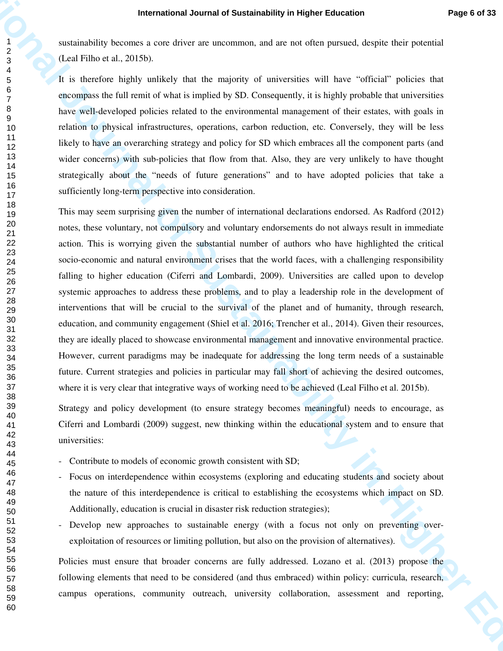sustainability becomes a core driver are uncommon, and are not often pursued, despite their potential (Leal Filho et al., 2015b).

It is therefore highly unlikely that the majority of universities will have "official" policies that encompass the full remit of what is implied by SD. Consequently, it is highly probable that universities have well-developed policies related to the environmental management of their estates, with goals in relation to physical infrastructures, operations, carbon reduction, etc. Conversely, they will be less likely to have an overarching strategy and policy for SD which embraces all the component parts (and wider concerns) with sub-policies that flow from that. Also, they are very unlikely to have thought strategically about the "needs of future generations" and to have adopted policies that take a sufficiently long-term perspective into consideration.

**International Journal of Sustainability in Higher Education**<br> **International Journal Association**<br> **I** Let the horoton held y called that the angine), of currentles will have "edilently positive dotational compare the tr This may seem surprising given the number of international declarations endorsed. As Radford (2012) notes, these voluntary, not compulsory and voluntary endorsements do not always result in immediate action. This is worrying given the substantial number of authors who have highlighted the critical socio-economic and natural environment crises that the world faces, with a challenging responsibility falling to higher education (Ciferri and Lombardi, 2009). Universities are called upon to develop systemic approaches to address these problems, and to play a leadership role in the development of interventions that will be crucial to the survival of the planet and of humanity, through research, education, and community engagement (Shiel et al. 2016; Trencher et al., 2014). Given their resources, they are ideally placed to showcase environmental management and innovative environmental practice. However, current paradigms may be inadequate for addressing the long term needs of a sustainable future. Current strategies and policies in particular may fall short of achieving the desired outcomes, where it is very clear that integrative ways of working need to be achieved (Leal Filho et al. 2015b).

Strategy and policy development (to ensure strategy becomes meaningful) needs to encourage, as Ciferri and Lombardi (2009) suggest, new thinking within the educational system and to ensure that universities:

- Contribute to models of economic growth consistent with SD;
- Focus on interdependence within ecosystems (exploring and educating students and society about the nature of this interdependence is critical to establishing the ecosystems which impact on SD. Additionally, education is crucial in disaster risk reduction strategies);
- Develop new approaches to sustainable energy (with a focus not only on preventing overexploitation of resources or limiting pollution, but also on the provision of alternatives).

Policies must ensure that broader concerns are fully addressed. Lozano et al. (2013) propose the following elements that need to be considered (and thus embraced) within policy: curricula, research, campus operations, community outreach, university collaboration, assessment and reporting,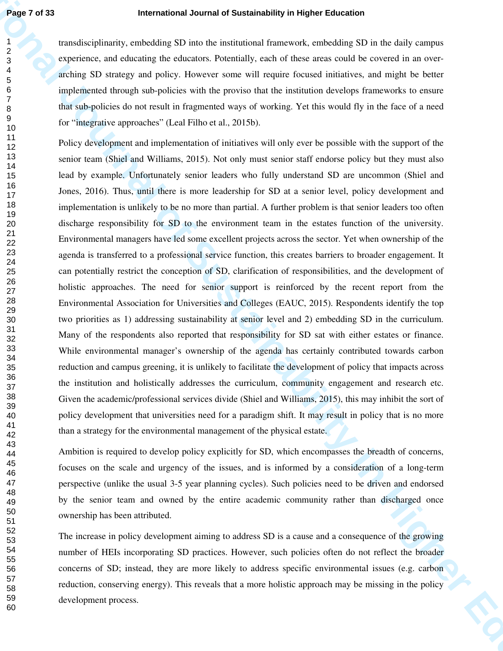#### **Page 7 of 33 International Journal of Sustainability in Higher Education**

transdisciplinarity, embedding SD into the institutional framework, embedding SD in the daily campus experience, and educating the educators. Potentially, each of these areas could be covered in an overarching SD strategy and policy. However some will require focused initiatives, and might be better implemented through sub-policies with the proviso that the institution develops frameworks to ensure that sub-policies do not result in fragmented ways of working. Yet this would fly in the face of a need for "integrative approaches" (Leal Filho et al., 2015b).

**Page 7 of 33**<br> **International Journal of Sustainability in Higher Education**<br> **International particular (and in the international functional distance in the control of the international Sustainable SD in the internationa** Policy development and implementation of initiatives will only ever be possible with the support of the senior team (Shiel and Williams, 2015). Not only must senior staff endorse policy but they must also lead by example. Unfortunately senior leaders who fully understand SD are uncommon (Shiel and Jones, 2016). Thus, until there is more leadership for SD at a senior level, policy development and implementation is unlikely to be no more than partial. A further problem is that senior leaders too often discharge responsibility for SD to the environment team in the estates function of the university. Environmental managers have led some excellent projects across the sector. Yet when ownership of the agenda is transferred to a professional service function, this creates barriers to broader engagement. It can potentially restrict the conception of SD, clarification of responsibilities, and the development of holistic approaches. The need for senior support is reinforced by the recent report from the Environmental Association for Universities and Colleges (EAUC, 2015). Respondents identify the top two priorities as 1) addressing sustainability at senior level and 2) embedding SD in the curriculum. Many of the respondents also reported that responsibility for SD sat with either estates or finance. While environmental manager's ownership of the agenda has certainly contributed towards carbon reduction and campus greening, it is unlikely to facilitate the development of policy that impacts across the institution and holistically addresses the curriculum, community engagement and research etc. Given the academic/professional services divide (Shiel and Williams, 2015), this may inhibit the sort of policy development that universities need for a paradigm shift. It may result in policy that is no more than a strategy for the environmental management of the physical estate.

Ambition is required to develop policy explicitly for SD, which encompasses the breadth of concerns, focuses on the scale and urgency of the issues, and is informed by a consideration of a long-term perspective (unlike the usual 3-5 year planning cycles). Such policies need to be driven and endorsed by the senior team and owned by the entire academic community rather than discharged once ownership has been attributed.

The increase in policy development aiming to address SD is a cause and a consequence of the growing number of HEIs incorporating SD practices. However, such policies often do not reflect the broader concerns of SD; instead, they are more likely to address specific environmental issues (e.g. carbon reduction, conserving energy). This reveals that a more holistic approach may be missing in the policy development process.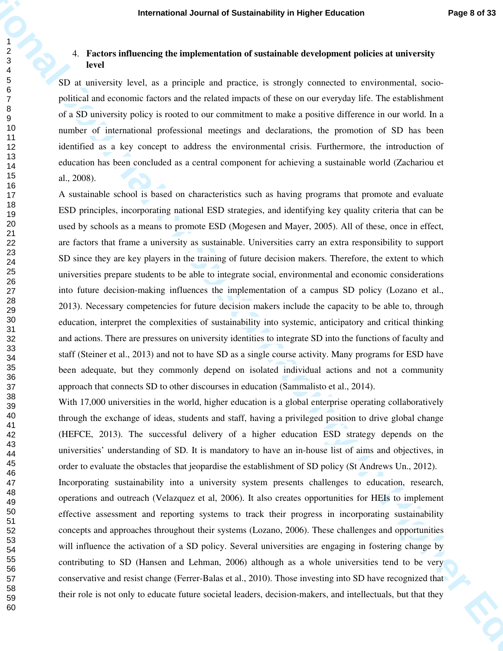# 4. **Factors influencing the implementation of sustainable development policies at university level**

SD at university level, as a principle and practice, is strongly connected to environmental, sociopolitical and economic factors and the related impacts of these on our everyday life. The establishment of a SD university policy is rooted to our commitment to make a positive difference in our world. In a number of international professional meetings and declarations, the promotion of SD has been identified as a key concept to address the environmental crisis. Furthermore, the introduction of education has been concluded as a central component for achieving a sustainable world (Zachariou et al., 2008).

**International Journal of Sustainability in Higher Education<br>
<b>I** Pack of the state information of such and the distribution of Such and the state in Higher Education of the state in the state in the state in the state in A sustainable school is based on characteristics such as having programs that promote and evaluate ESD principles, incorporating national ESD strategies, and identifying key quality criteria that can be used by schools as a means to promote ESD (Mogesen and Mayer, 2005). All of these, once in effect, are factors that frame a university as sustainable. Universities carry an extra responsibility to support SD since they are key players in the training of future decision makers. Therefore, the extent to which universities prepare students to be able to integrate social, environmental and economic considerations into future decision-making influences the implementation of a campus SD policy (Lozano et al., 2013). Necessary competencies for future decision makers include the capacity to be able to, through education, interpret the complexities of sustainability into systemic, anticipatory and critical thinking and actions. There are pressures on university identities to integrate SD into the functions of faculty and staff (Steiner et al., 2013) and not to have SD as a single course activity. Many programs for ESD have been adequate, but they commonly depend on isolated individual actions and not a community approach that connects SD to other discourses in education (Sammalisto et al., 2014).

With 17,000 universities in the world, higher education is a global enterprise operating collaboratively through the exchange of ideas, students and staff, having a privileged position to drive global change (HEFCE, 2013). The successful delivery of a higher education ESD strategy depends on the universities' understanding of SD. It is mandatory to have an in-house list of aims and objectives, in order to evaluate the obstacles that jeopardise the establishment of SD policy (St Andrews Un., 2012). Incorporating sustainability into a university system presents challenges to education, research, operations and outreach (Velazquez et al, 2006). It also creates opportunities for HEIs to implement effective assessment and reporting systems to track their progress in incorporating sustainability

concepts and approaches throughout their systems (Lozano, 2006). These challenges and opportunities will influence the activation of a SD policy. Several universities are engaging in fostering change by contributing to SD (Hansen and Lehman, 2006) although as a whole universities tend to be very conservative and resist change (Ferrer-Balas et al., 2010). Those investing into SD have recognized that their role is not only to educate future societal leaders, decision-makers, and intellectuals, but that they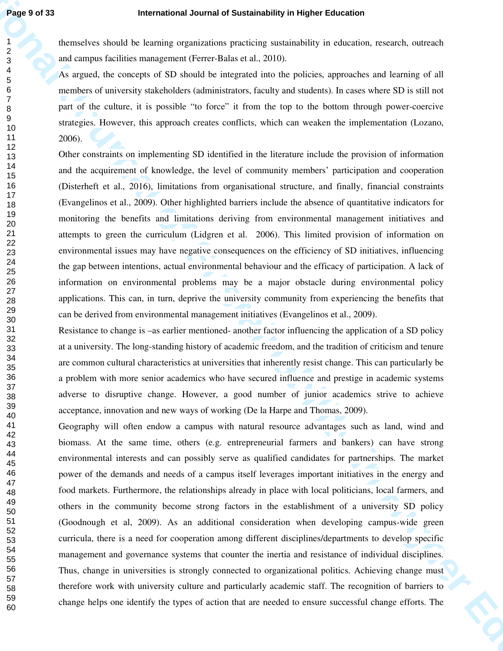#### **Page 9 of 33 International Journal of Sustainability in Higher Education**

themselves should be learning organizations practicing sustainability in education, research, outreach and campus facilities management (Ferrer-Balas et al., 2010).

As argued, the concepts of SD should be integrated into the policies, approaches and learning of all members of university stakeholders (administrators, faculty and students). In cases where SD is still not part of the culture, it is possible "to force" it from the top to the bottom through power-coercive strategies. However, this approach creates conflicts, which can weaken the implementation (Lozano, 2006).

Other constraints on implementing SD identified in the literature include the provision of information and the acquirement of knowledge, the level of community members' participation and cooperation (Disterheft et al., 2016), limitations from organisational structure, and finally, financial constraints (Evangelinos et al., 2009). Other highlighted barriers include the absence of quantitative indicators for monitoring the benefits and limitations deriving from environmental management initiatives and attempts to green the curriculum (Lidgren et al. 2006). This limited provision of information on environmental issues may have negative consequences on the efficiency of SD initiatives, influencing the gap between intentions, actual environmental behaviour and the efficacy of participation. A lack of information on environmental problems may be a major obstacle during environmental policy applications. This can, in turn, deprive the university community from experiencing the benefits that can be derived from environmental management initiatives (Evangelinos et al., 2009).

Resistance to change is –as earlier mentioned- another factor influencing the application of a SD policy at a university. The long-standing history of academic freedom, and the tradition of criticism and tenure are common cultural characteristics at universities that inherently resist change. This can particularly be a problem with more senior academics who have secured influence and prestige in academic systems adverse to disruptive change. However, a good number of junior academics strive to achieve acceptance, innovation and new ways of working (De la Harpe and Thomas, 2009).

**Page 19 of 33**<br> **International Journal of Sustainability in Higher Education**<br> **International of the basebig equationism graphing the international of the system of the system of the system of the system of the system of** Geography will often endow a campus with natural resource advantages such as land, wind and biomass. At the same time, others (e.g. entrepreneurial farmers and bankers) can have strong environmental interests and can possibly serve as qualified candidates for partnerships. The market power of the demands and needs of a campus itself leverages important initiatives in the energy and food markets. Furthermore, the relationships already in place with local politicians, local farmers, and others in the community become strong factors in the establishment of a university SD policy (Goodnough et al, 2009). As an additional consideration when developing campus-wide green curricula, there is a need for cooperation among different disciplines/departments to develop specific management and governance systems that counter the inertia and resistance of individual disciplines. Thus, change in universities is strongly connected to organizational politics. Achieving change must therefore work with university culture and particularly academic staff. The recognition of barriers to change helps one identify the types of action that are needed to ensure successful change efforts. The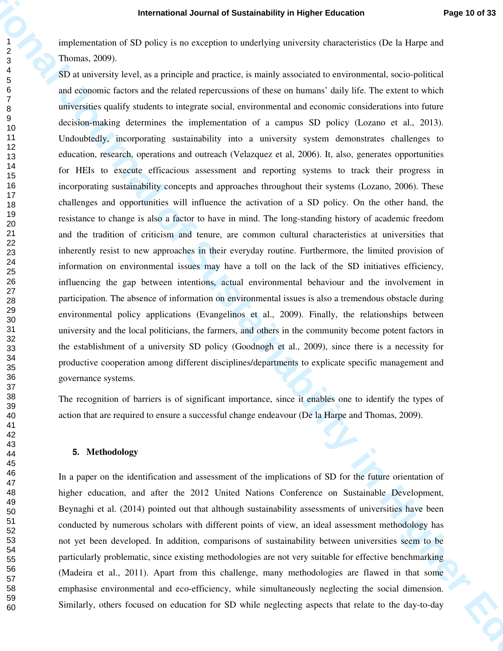implementation of SD policy is no exception to underlying university characteristics (De la Harpe and Thomas, 2009).

**International Journal of Sundamential (our maintain the system Education Page 10 of 33<br>
1. hereas, 2009)<br>
1. hereas, 2009)<br>
1. hereas, 2009)<br>
1. statistical Content and probability in the system in the system of the minim** SD at university level, as a principle and practice, is mainly associated to environmental, socio-political and economic factors and the related repercussions of these on humans' daily life. The extent to which universities qualify students to integrate social, environmental and economic considerations into future decision-making determines the implementation of a campus SD policy (Lozano et al., 2013). Undoubtedly, incorporating sustainability into a university system demonstrates challenges to education, research, operations and outreach (Velazquez et al, 2006). It, also, generates opportunities for HEIs to execute efficacious assessment and reporting systems to track their progress in incorporating sustainability concepts and approaches throughout their systems (Lozano, 2006). These challenges and opportunities will influence the activation of a SD policy. On the other hand, the resistance to change is also a factor to have in mind. The long-standing history of academic freedom and the tradition of criticism and tenure, are common cultural characteristics at universities that inherently resist to new approaches in their everyday routine. Furthermore, the limited provision of information on environmental issues may have a toll on the lack of the SD initiatives efficiency, influencing the gap between intentions, actual environmental behaviour and the involvement in participation. The absence of information on environmental issues is also a tremendous obstacle during environmental policy applications (Evangelinos et al., 2009). Finally, the relationships between university and the local politicians, the farmers, and others in the community become potent factors in the establishment of a university SD policy (Goodnogh et al., 2009), since there is a necessity for productive cooperation among different disciplines/departments to explicate specific management and governance systems.

The recognition of barriers is of significant importance, since it enables one to identify the types of action that are required to ensure a successful change endeavour (De la Harpe and Thomas, 2009).

#### **5. Methodology**

In a paper on the identification and assessment of the implications of SD for the future orientation of higher education, and after the 2012 United Nations Conference on Sustainable Development, Beynaghi et al. (2014) pointed out that although sustainability assessments of universities have been conducted by numerous scholars with different points of view, an ideal assessment methodology has not yet been developed. In addition, comparisons of sustainability between universities seem to be particularly problematic, since existing methodologies are not very suitable for effective benchmarking (Madeira et al., 2011). Apart from this challenge, many methodologies are flawed in that some emphasise environmental and eco-efficiency, while simultaneously neglecting the social dimension. Similarly, others focused on education for SD while neglecting aspects that relate to the day-to-day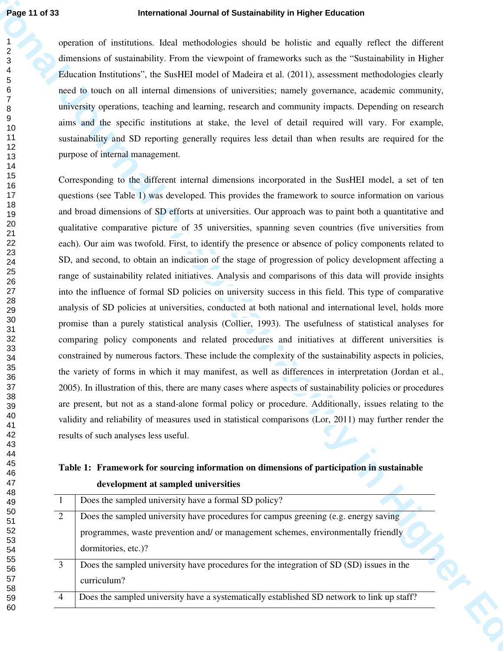#### **Page 11 of 33 International Journal of Sustainability in Higher Education**

operation of institutions. Ideal methodologies should be holistic and equally reflect the different dimensions of sustainability. From the viewpoint of frameworks such as the "Sustainability in Higher Education Institutions", the SusHEI model of Madeira et al. (2011), assessment methodologies clearly need to touch on all internal dimensions of universities; namely governance, academic community, university operations, teaching and learning, research and community impacts. Depending on research aims and the specific institutions at stake, the level of detail required will vary. For example, sustainability and SD reporting generally requires less detail than when results are required for the purpose of internal management.

**<b>Fage 11 of 33**<br> **International Journal of Sustainability in Higher Education (** $\frac{1}{2}$ **<br>
<b>International development of the molecular space and the basebolic in Higher Education (** $\frac{1}{2}$ **<br>
<b>International of the molecula** Corresponding to the different internal dimensions incorporated in the SusHEI model, a set of ten questions (see Table 1) was developed. This provides the framework to source information on various and broad dimensions of SD efforts at universities. Our approach was to paint both a quantitative and qualitative comparative picture of 35 universities, spanning seven countries (five universities from each). Our aim was twofold. First, to identify the presence or absence of policy components related to SD, and second, to obtain an indication of the stage of progression of policy development affecting a range of sustainability related initiatives. Analysis and comparisons of this data will provide insights into the influence of formal SD policies on university success in this field. This type of comparative analysis of SD policies at universities, conducted at both national and international level, holds more promise than a purely statistical analysis (Collier, 1993). The usefulness of statistical analyses for comparing policy components and related procedures and initiatives at different universities is constrained by numerous factors. These include the complexity of the sustainability aspects in policies, the variety of forms in which it may manifest, as well as differences in interpretation (Jordan et al., 2005). In illustration of this, there are many cases where aspects of sustainability policies or procedures are present, but not as a stand-alone formal policy or procedure. Additionally, issues relating to the validity and reliability of measures used in statistical comparisons (Lor, 2011) may further render the results of such analyses less useful.

# **Table 1: Framework for sourcing information on dimensions of participation in sustainable development at sampled universities**

|   | Does the sampled university have a formal SD policy?                                       |
|---|--------------------------------------------------------------------------------------------|
| ∍ | Does the sampled university have procedures for campus greening (e.g. energy saving        |
|   | programmes, waste prevention and/ or management schemes, environmentally friendly          |
|   | dormitories, etc.)?                                                                        |
| 3 | Does the sampled university have procedures for the integration of SD (SD) issues in the   |
|   | curriculum?                                                                                |
| 4 | Does the sampled university have a systematically established SD network to link up staff? |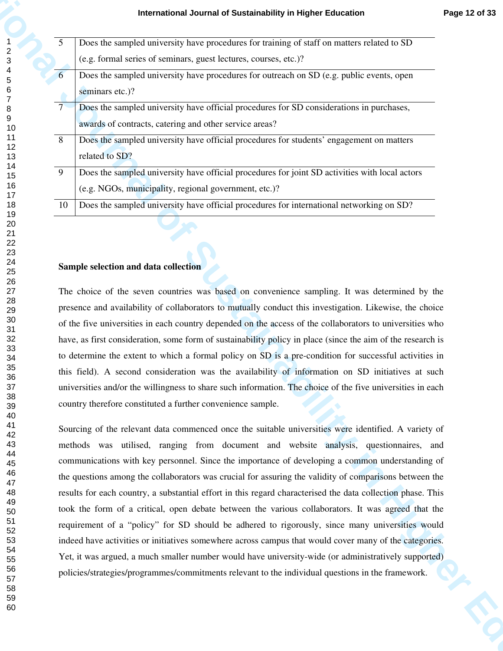| 5<br>Does the sampled university have procedures for training of staff on matters related to SD<br>(e.g. formal series of seminars, guest lectures, courses, etc.)?<br>Does the sampled university have procedures for outreach on SD (e.g. public events, open<br>6<br>seminars etc.)?<br>$\overline{7}$<br>Does the sampled university have official procedures for SD considerations in purchases,<br>awards of contracts, catering and other service areas?<br>8<br>Does the sampled university have official procedures for students' engagement on matters<br>related to SD?<br>Does the sampled university have official procedures for joint SD activities with local actors<br>9<br>(e.g. NGOs, municipality, regional government, etc.)?<br>Does the sampled university have official procedures for international networking on SD?<br>10<br>Sample selection and data collection<br>The choice of the seven countries was based on convenience sampling. It was determined by the<br>presence and availability of collaborators to mutually conduct this investigation. Likewise, the choice<br>of the five universities in each country depended on the access of the collaborators to universities who<br>have, as first consideration, some form of sustainability policy in place (since the aim of the research is<br>to determine the extent to which a formal policy on SD is a pre-condition for successful activities in<br>this field). A second consideration was the availability of information on SD initiatives at such<br>universities and/or the willingness to share such information. The choice of the five universities in each<br>country therefore constituted a further convenience sample.<br>Sourcing of the relevant data commenced once the suitable universities were identified. A variety of<br>methods was utilised, ranging from document and website analysis, questionnaires, and<br>communications with key personnel. Since the importance of developing a common understanding of<br>the questions among the collaborators was crucial for assuring the validity of comparisons between the<br>results for each country, a substantial effort in this regard characterised the data collection phase. This<br>took the form of a critical, open debate between the various collaborators. It was agreed that the<br>requirement of a "policy" for SD should be adhered to rigorously, since many universities would<br>indeed have activities or initiatives somewhere across campus that would cover many of the categories.<br>Yet, it was argued, a much smaller number would have university-wide (or administratively supported)<br>policies/strategies/programmes/commitments relevant to the individual questions in the framework. | International Journal of Sustainability in Higher Education |
|----------------------------------------------------------------------------------------------------------------------------------------------------------------------------------------------------------------------------------------------------------------------------------------------------------------------------------------------------------------------------------------------------------------------------------------------------------------------------------------------------------------------------------------------------------------------------------------------------------------------------------------------------------------------------------------------------------------------------------------------------------------------------------------------------------------------------------------------------------------------------------------------------------------------------------------------------------------------------------------------------------------------------------------------------------------------------------------------------------------------------------------------------------------------------------------------------------------------------------------------------------------------------------------------------------------------------------------------------------------------------------------------------------------------------------------------------------------------------------------------------------------------------------------------------------------------------------------------------------------------------------------------------------------------------------------------------------------------------------------------------------------------------------------------------------------------------------------------------------------------------------------------------------------------------------------------------------------------------------------------------------------------------------------------------------------------------------------------------------------------------------------------------------------------------------------------------------------------------------------------------------------------------------------------------------------------------------------------------------------------------------------------------------------------------------------------------------------------------------------------------------------------------------------------------------------------------------------------------------------------------------------------------------------------------------------------------------------------------------------------------------------------------------------------|-------------------------------------------------------------|
|                                                                                                                                                                                                                                                                                                                                                                                                                                                                                                                                                                                                                                                                                                                                                                                                                                                                                                                                                                                                                                                                                                                                                                                                                                                                                                                                                                                                                                                                                                                                                                                                                                                                                                                                                                                                                                                                                                                                                                                                                                                                                                                                                                                                                                                                                                                                                                                                                                                                                                                                                                                                                                                                                                                                                                                              |                                                             |
|                                                                                                                                                                                                                                                                                                                                                                                                                                                                                                                                                                                                                                                                                                                                                                                                                                                                                                                                                                                                                                                                                                                                                                                                                                                                                                                                                                                                                                                                                                                                                                                                                                                                                                                                                                                                                                                                                                                                                                                                                                                                                                                                                                                                                                                                                                                                                                                                                                                                                                                                                                                                                                                                                                                                                                                              |                                                             |
|                                                                                                                                                                                                                                                                                                                                                                                                                                                                                                                                                                                                                                                                                                                                                                                                                                                                                                                                                                                                                                                                                                                                                                                                                                                                                                                                                                                                                                                                                                                                                                                                                                                                                                                                                                                                                                                                                                                                                                                                                                                                                                                                                                                                                                                                                                                                                                                                                                                                                                                                                                                                                                                                                                                                                                                              |                                                             |
|                                                                                                                                                                                                                                                                                                                                                                                                                                                                                                                                                                                                                                                                                                                                                                                                                                                                                                                                                                                                                                                                                                                                                                                                                                                                                                                                                                                                                                                                                                                                                                                                                                                                                                                                                                                                                                                                                                                                                                                                                                                                                                                                                                                                                                                                                                                                                                                                                                                                                                                                                                                                                                                                                                                                                                                              |                                                             |
|                                                                                                                                                                                                                                                                                                                                                                                                                                                                                                                                                                                                                                                                                                                                                                                                                                                                                                                                                                                                                                                                                                                                                                                                                                                                                                                                                                                                                                                                                                                                                                                                                                                                                                                                                                                                                                                                                                                                                                                                                                                                                                                                                                                                                                                                                                                                                                                                                                                                                                                                                                                                                                                                                                                                                                                              |                                                             |
|                                                                                                                                                                                                                                                                                                                                                                                                                                                                                                                                                                                                                                                                                                                                                                                                                                                                                                                                                                                                                                                                                                                                                                                                                                                                                                                                                                                                                                                                                                                                                                                                                                                                                                                                                                                                                                                                                                                                                                                                                                                                                                                                                                                                                                                                                                                                                                                                                                                                                                                                                                                                                                                                                                                                                                                              |                                                             |
|                                                                                                                                                                                                                                                                                                                                                                                                                                                                                                                                                                                                                                                                                                                                                                                                                                                                                                                                                                                                                                                                                                                                                                                                                                                                                                                                                                                                                                                                                                                                                                                                                                                                                                                                                                                                                                                                                                                                                                                                                                                                                                                                                                                                                                                                                                                                                                                                                                                                                                                                                                                                                                                                                                                                                                                              |                                                             |
|                                                                                                                                                                                                                                                                                                                                                                                                                                                                                                                                                                                                                                                                                                                                                                                                                                                                                                                                                                                                                                                                                                                                                                                                                                                                                                                                                                                                                                                                                                                                                                                                                                                                                                                                                                                                                                                                                                                                                                                                                                                                                                                                                                                                                                                                                                                                                                                                                                                                                                                                                                                                                                                                                                                                                                                              |                                                             |
|                                                                                                                                                                                                                                                                                                                                                                                                                                                                                                                                                                                                                                                                                                                                                                                                                                                                                                                                                                                                                                                                                                                                                                                                                                                                                                                                                                                                                                                                                                                                                                                                                                                                                                                                                                                                                                                                                                                                                                                                                                                                                                                                                                                                                                                                                                                                                                                                                                                                                                                                                                                                                                                                                                                                                                                              |                                                             |
|                                                                                                                                                                                                                                                                                                                                                                                                                                                                                                                                                                                                                                                                                                                                                                                                                                                                                                                                                                                                                                                                                                                                                                                                                                                                                                                                                                                                                                                                                                                                                                                                                                                                                                                                                                                                                                                                                                                                                                                                                                                                                                                                                                                                                                                                                                                                                                                                                                                                                                                                                                                                                                                                                                                                                                                              |                                                             |
|                                                                                                                                                                                                                                                                                                                                                                                                                                                                                                                                                                                                                                                                                                                                                                                                                                                                                                                                                                                                                                                                                                                                                                                                                                                                                                                                                                                                                                                                                                                                                                                                                                                                                                                                                                                                                                                                                                                                                                                                                                                                                                                                                                                                                                                                                                                                                                                                                                                                                                                                                                                                                                                                                                                                                                                              |                                                             |
|                                                                                                                                                                                                                                                                                                                                                                                                                                                                                                                                                                                                                                                                                                                                                                                                                                                                                                                                                                                                                                                                                                                                                                                                                                                                                                                                                                                                                                                                                                                                                                                                                                                                                                                                                                                                                                                                                                                                                                                                                                                                                                                                                                                                                                                                                                                                                                                                                                                                                                                                                                                                                                                                                                                                                                                              |                                                             |
|                                                                                                                                                                                                                                                                                                                                                                                                                                                                                                                                                                                                                                                                                                                                                                                                                                                                                                                                                                                                                                                                                                                                                                                                                                                                                                                                                                                                                                                                                                                                                                                                                                                                                                                                                                                                                                                                                                                                                                                                                                                                                                                                                                                                                                                                                                                                                                                                                                                                                                                                                                                                                                                                                                                                                                                              |                                                             |
|                                                                                                                                                                                                                                                                                                                                                                                                                                                                                                                                                                                                                                                                                                                                                                                                                                                                                                                                                                                                                                                                                                                                                                                                                                                                                                                                                                                                                                                                                                                                                                                                                                                                                                                                                                                                                                                                                                                                                                                                                                                                                                                                                                                                                                                                                                                                                                                                                                                                                                                                                                                                                                                                                                                                                                                              |                                                             |
|                                                                                                                                                                                                                                                                                                                                                                                                                                                                                                                                                                                                                                                                                                                                                                                                                                                                                                                                                                                                                                                                                                                                                                                                                                                                                                                                                                                                                                                                                                                                                                                                                                                                                                                                                                                                                                                                                                                                                                                                                                                                                                                                                                                                                                                                                                                                                                                                                                                                                                                                                                                                                                                                                                                                                                                              |                                                             |
|                                                                                                                                                                                                                                                                                                                                                                                                                                                                                                                                                                                                                                                                                                                                                                                                                                                                                                                                                                                                                                                                                                                                                                                                                                                                                                                                                                                                                                                                                                                                                                                                                                                                                                                                                                                                                                                                                                                                                                                                                                                                                                                                                                                                                                                                                                                                                                                                                                                                                                                                                                                                                                                                                                                                                                                              |                                                             |
|                                                                                                                                                                                                                                                                                                                                                                                                                                                                                                                                                                                                                                                                                                                                                                                                                                                                                                                                                                                                                                                                                                                                                                                                                                                                                                                                                                                                                                                                                                                                                                                                                                                                                                                                                                                                                                                                                                                                                                                                                                                                                                                                                                                                                                                                                                                                                                                                                                                                                                                                                                                                                                                                                                                                                                                              |                                                             |
|                                                                                                                                                                                                                                                                                                                                                                                                                                                                                                                                                                                                                                                                                                                                                                                                                                                                                                                                                                                                                                                                                                                                                                                                                                                                                                                                                                                                                                                                                                                                                                                                                                                                                                                                                                                                                                                                                                                                                                                                                                                                                                                                                                                                                                                                                                                                                                                                                                                                                                                                                                                                                                                                                                                                                                                              |                                                             |
|                                                                                                                                                                                                                                                                                                                                                                                                                                                                                                                                                                                                                                                                                                                                                                                                                                                                                                                                                                                                                                                                                                                                                                                                                                                                                                                                                                                                                                                                                                                                                                                                                                                                                                                                                                                                                                                                                                                                                                                                                                                                                                                                                                                                                                                                                                                                                                                                                                                                                                                                                                                                                                                                                                                                                                                              |                                                             |
|                                                                                                                                                                                                                                                                                                                                                                                                                                                                                                                                                                                                                                                                                                                                                                                                                                                                                                                                                                                                                                                                                                                                                                                                                                                                                                                                                                                                                                                                                                                                                                                                                                                                                                                                                                                                                                                                                                                                                                                                                                                                                                                                                                                                                                                                                                                                                                                                                                                                                                                                                                                                                                                                                                                                                                                              |                                                             |
|                                                                                                                                                                                                                                                                                                                                                                                                                                                                                                                                                                                                                                                                                                                                                                                                                                                                                                                                                                                                                                                                                                                                                                                                                                                                                                                                                                                                                                                                                                                                                                                                                                                                                                                                                                                                                                                                                                                                                                                                                                                                                                                                                                                                                                                                                                                                                                                                                                                                                                                                                                                                                                                                                                                                                                                              |                                                             |
|                                                                                                                                                                                                                                                                                                                                                                                                                                                                                                                                                                                                                                                                                                                                                                                                                                                                                                                                                                                                                                                                                                                                                                                                                                                                                                                                                                                                                                                                                                                                                                                                                                                                                                                                                                                                                                                                                                                                                                                                                                                                                                                                                                                                                                                                                                                                                                                                                                                                                                                                                                                                                                                                                                                                                                                              |                                                             |
|                                                                                                                                                                                                                                                                                                                                                                                                                                                                                                                                                                                                                                                                                                                                                                                                                                                                                                                                                                                                                                                                                                                                                                                                                                                                                                                                                                                                                                                                                                                                                                                                                                                                                                                                                                                                                                                                                                                                                                                                                                                                                                                                                                                                                                                                                                                                                                                                                                                                                                                                                                                                                                                                                                                                                                                              |                                                             |
|                                                                                                                                                                                                                                                                                                                                                                                                                                                                                                                                                                                                                                                                                                                                                                                                                                                                                                                                                                                                                                                                                                                                                                                                                                                                                                                                                                                                                                                                                                                                                                                                                                                                                                                                                                                                                                                                                                                                                                                                                                                                                                                                                                                                                                                                                                                                                                                                                                                                                                                                                                                                                                                                                                                                                                                              |                                                             |
|                                                                                                                                                                                                                                                                                                                                                                                                                                                                                                                                                                                                                                                                                                                                                                                                                                                                                                                                                                                                                                                                                                                                                                                                                                                                                                                                                                                                                                                                                                                                                                                                                                                                                                                                                                                                                                                                                                                                                                                                                                                                                                                                                                                                                                                                                                                                                                                                                                                                                                                                                                                                                                                                                                                                                                                              |                                                             |
|                                                                                                                                                                                                                                                                                                                                                                                                                                                                                                                                                                                                                                                                                                                                                                                                                                                                                                                                                                                                                                                                                                                                                                                                                                                                                                                                                                                                                                                                                                                                                                                                                                                                                                                                                                                                                                                                                                                                                                                                                                                                                                                                                                                                                                                                                                                                                                                                                                                                                                                                                                                                                                                                                                                                                                                              |                                                             |
|                                                                                                                                                                                                                                                                                                                                                                                                                                                                                                                                                                                                                                                                                                                                                                                                                                                                                                                                                                                                                                                                                                                                                                                                                                                                                                                                                                                                                                                                                                                                                                                                                                                                                                                                                                                                                                                                                                                                                                                                                                                                                                                                                                                                                                                                                                                                                                                                                                                                                                                                                                                                                                                                                                                                                                                              |                                                             |
|                                                                                                                                                                                                                                                                                                                                                                                                                                                                                                                                                                                                                                                                                                                                                                                                                                                                                                                                                                                                                                                                                                                                                                                                                                                                                                                                                                                                                                                                                                                                                                                                                                                                                                                                                                                                                                                                                                                                                                                                                                                                                                                                                                                                                                                                                                                                                                                                                                                                                                                                                                                                                                                                                                                                                                                              |                                                             |
|                                                                                                                                                                                                                                                                                                                                                                                                                                                                                                                                                                                                                                                                                                                                                                                                                                                                                                                                                                                                                                                                                                                                                                                                                                                                                                                                                                                                                                                                                                                                                                                                                                                                                                                                                                                                                                                                                                                                                                                                                                                                                                                                                                                                                                                                                                                                                                                                                                                                                                                                                                                                                                                                                                                                                                                              |                                                             |

# **Sample selection and data collection**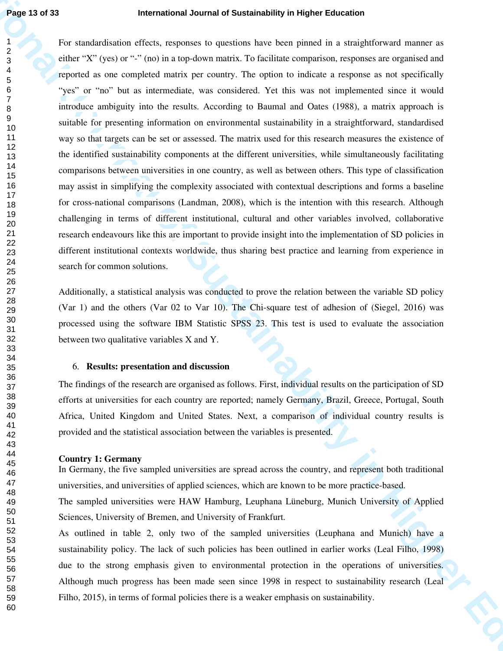#### **Page 13 of 33 International Journal of Sustainability in Higher Education**

**Page 13 of 33**<br> **International Journal of Sustainability in Higher Education**<br>
International order, separate to generate the present proposed in a subsequent one computed and<br>  $\frac{2}{5}$  and the "X" operative in equation For standardisation effects, responses to questions have been pinned in a straightforward manner as either "X" (yes) or "-" (no) in a top-down matrix. To facilitate comparison, responses are organised and reported as one completed matrix per country. The option to indicate a response as not specifically "yes" or "no" but as intermediate, was considered. Yet this was not implemented since it would introduce ambiguity into the results. According to Baumal and Oates (1988), a matrix approach is suitable for presenting information on environmental sustainability in a straightforward, standardised way so that targets can be set or assessed. The matrix used for this research measures the existence of the identified sustainability components at the different universities, while simultaneously facilitating comparisons between universities in one country, as well as between others. This type of classification may assist in simplifying the complexity associated with contextual descriptions and forms a baseline for cross-national comparisons (Landman, 2008), which is the intention with this research. Although challenging in terms of different institutional, cultural and other variables involved, collaborative research endeavours like this are important to provide insight into the implementation of SD policies in different institutional contexts worldwide, thus sharing best practice and learning from experience in search for common solutions.

Additionally, a statistical analysis was conducted to prove the relation between the variable SD policy (Var 1) and the others (Var 02 to Var 10). The Chi-square test of adhesion of (Siegel, 2016) was processed using the software IBM Statistic SPSS 23. This test is used to evaluate the association between two qualitative variables X and Y.

#### 6. **Results: presentation and discussion**

The findings of the research are organised as follows. First, individual results on the participation of SD efforts at universities for each country are reported; namely Germany, Brazil, Greece, Portugal, South Africa, United Kingdom and United States. Next, a comparison of individual country results is provided and the statistical association between the variables is presented.

#### **Country 1: Germany**

In Germany, the five sampled universities are spread across the country, and represent both traditional universities, and universities of applied sciences, which are known to be more practice-based.

The sampled universities were HAW Hamburg, Leuphana Lüneburg, Munich University of Applied Sciences, University of Bremen, and University of Frankfurt.

As outlined in table 2, only two of the sampled universities (Leuphana and Munich) have a sustainability policy. The lack of such policies has been outlined in earlier works (Leal Filho, 1998) due to the strong emphasis given to environmental protection in the operations of universities. Although much progress has been made seen since 1998 in respect to sustainability research (Leal Filho, 2015), in terms of formal policies there is a weaker emphasis on sustainability.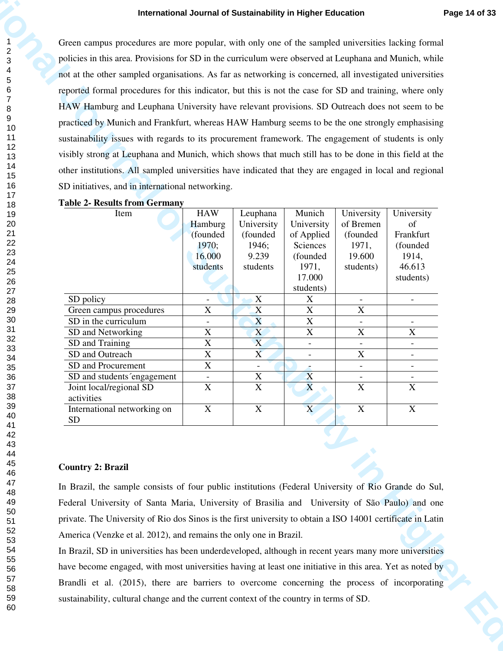|  |  |  |  | <b>Table 2- Results from Germany</b> |
|--|--|--|--|--------------------------------------|
|--|--|--|--|--------------------------------------|

| Green campus procedures are more popular, with only one of the sampled universities lacking formal<br>policies in this area. Provisions for SD in the curriculum were observed at Leuphana and Munich, while<br>not at the other sampled organisations. As far as networking is concerned, all investigated universities<br>reported formal procedures for this indicator, but this is not the case for SD and training, where only<br>HAW Hamburg and Leuphana University have relevant provisions. SD Outreach does not seem to be<br>practiced by Munich and Frankfurt, whereas HAW Hamburg seems to be the one strongly emphasising<br>sustainability issues with regards to its procurement framework. The engagement of students is only<br>visibly strong at Leuphana and Munich, which shows that much still has to be done in this field at the<br>other institutions. All sampled universities have indicated that they are engaged in local and regional<br>SD initiatives, and in international networking.<br><b>Table 2- Results from Germany</b><br>Munich<br><b>HAW</b><br>University<br>Leuphana<br>University<br>Item<br>of Bremen<br>University<br>University<br>of<br><b>Hamburg</b><br>of Applied<br>Frankfurt<br>(founded<br>(founded<br>(founded)<br>1971,<br>1970;<br>1946;<br>Sciences<br>(founded)<br>16.000<br>9.239<br>19.600<br>1914,<br>(founded)<br>1971,<br>46.613<br>students<br>students<br>students)<br>17.000<br>students)<br>students)<br>SD policy<br>X<br>X<br>$\overline{\phantom{a}}$<br>$\sim$<br>$\mathbf X$<br>$\overline{X}$<br>$\boldsymbol{\mathrm{X}}$<br>$\boldsymbol{\mathrm{X}}$<br>Green campus procedures<br>$\overline{\mathbf{X}}$<br>$\overline{X}$<br>SD in the curriculum<br>$\mathbf X$<br>$\boldsymbol{X}$<br>$\boldsymbol{\mathrm{X}}$<br>$\mathbf X$<br>$\boldsymbol{\mathrm{X}}$<br>SD and Networking<br>X<br>X<br>SD and Training<br>$\overline{\phantom{a}}$<br>$\mathbf X$<br>$\mathbf{X}$<br>$\mathbf X$<br>SD and Outreach<br>$\sim$<br>$\blacksquare$<br>$\mathbf X$<br>SD and Procurement<br>$\blacksquare$<br>$\sim$<br>X<br>X<br>SD and students engagement<br>$\overline{\phantom{a}}$<br>$\overline{\phantom{a}}$<br>$\overline{X}$<br>$\mathbf X$<br>X<br>X<br>$\boldsymbol{\mathrm{X}}$<br>Joint local/regional SD<br>activities<br>$\overline{X}$<br>$\overline{X}$<br>$\overline{X}$<br>$\overline{X}$<br>X<br>International networking on<br><b>SD</b><br><b>Country 2: Brazil</b><br>In Brazil, the sample consists of four public institutions (Federal University of Rio Grande do Sul,<br>Federal University of Santa Maria, University of Brasilia and University of São Paulo) and one<br>private. The University of Rio dos Sinos is the first university to obtain a ISO 14001 certificate in Latin<br>America (Venzke et al. 2012), and remains the only one in Brazil.<br>In Brazil, SD in universities has been underdeveloped, although in recent years many more universities<br>have become engaged, with most universities having at least one initiative in this area. Yet as noted by |  |  | International Journal of Sustainability in Higher Education |  |  |
|---------------------------------------------------------------------------------------------------------------------------------------------------------------------------------------------------------------------------------------------------------------------------------------------------------------------------------------------------------------------------------------------------------------------------------------------------------------------------------------------------------------------------------------------------------------------------------------------------------------------------------------------------------------------------------------------------------------------------------------------------------------------------------------------------------------------------------------------------------------------------------------------------------------------------------------------------------------------------------------------------------------------------------------------------------------------------------------------------------------------------------------------------------------------------------------------------------------------------------------------------------------------------------------------------------------------------------------------------------------------------------------------------------------------------------------------------------------------------------------------------------------------------------------------------------------------------------------------------------------------------------------------------------------------------------------------------------------------------------------------------------------------------------------------------------------------------------------------------------------------------------------------------------------------------------------------------------------------------------------------------------------------------------------------------------------------------------------------------------------------------------------------------------------------------------------------------------------------------------------------------------------------------------------------------------------------------------------------------------------------------------------------------------------------------------------------------------------------------------------------------------------------------------------------------------------------------------------------------------------------------------------------------------------------------------------------------------------------------------------------------------------------------------------------------------------------------------------------------------------------------------------------------------------------------------------------------------------------------------------------------------------------------------------------------------------------------------------|--|--|-------------------------------------------------------------|--|--|
|                                                                                                                                                                                                                                                                                                                                                                                                                                                                                                                                                                                                                                                                                                                                                                                                                                                                                                                                                                                                                                                                                                                                                                                                                                                                                                                                                                                                                                                                                                                                                                                                                                                                                                                                                                                                                                                                                                                                                                                                                                                                                                                                                                                                                                                                                                                                                                                                                                                                                                                                                                                                                                                                                                                                                                                                                                                                                                                                                                                                                                                                                       |  |  |                                                             |  |  |
|                                                                                                                                                                                                                                                                                                                                                                                                                                                                                                                                                                                                                                                                                                                                                                                                                                                                                                                                                                                                                                                                                                                                                                                                                                                                                                                                                                                                                                                                                                                                                                                                                                                                                                                                                                                                                                                                                                                                                                                                                                                                                                                                                                                                                                                                                                                                                                                                                                                                                                                                                                                                                                                                                                                                                                                                                                                                                                                                                                                                                                                                                       |  |  |                                                             |  |  |
|                                                                                                                                                                                                                                                                                                                                                                                                                                                                                                                                                                                                                                                                                                                                                                                                                                                                                                                                                                                                                                                                                                                                                                                                                                                                                                                                                                                                                                                                                                                                                                                                                                                                                                                                                                                                                                                                                                                                                                                                                                                                                                                                                                                                                                                                                                                                                                                                                                                                                                                                                                                                                                                                                                                                                                                                                                                                                                                                                                                                                                                                                       |  |  |                                                             |  |  |
|                                                                                                                                                                                                                                                                                                                                                                                                                                                                                                                                                                                                                                                                                                                                                                                                                                                                                                                                                                                                                                                                                                                                                                                                                                                                                                                                                                                                                                                                                                                                                                                                                                                                                                                                                                                                                                                                                                                                                                                                                                                                                                                                                                                                                                                                                                                                                                                                                                                                                                                                                                                                                                                                                                                                                                                                                                                                                                                                                                                                                                                                                       |  |  |                                                             |  |  |
|                                                                                                                                                                                                                                                                                                                                                                                                                                                                                                                                                                                                                                                                                                                                                                                                                                                                                                                                                                                                                                                                                                                                                                                                                                                                                                                                                                                                                                                                                                                                                                                                                                                                                                                                                                                                                                                                                                                                                                                                                                                                                                                                                                                                                                                                                                                                                                                                                                                                                                                                                                                                                                                                                                                                                                                                                                                                                                                                                                                                                                                                                       |  |  |                                                             |  |  |
|                                                                                                                                                                                                                                                                                                                                                                                                                                                                                                                                                                                                                                                                                                                                                                                                                                                                                                                                                                                                                                                                                                                                                                                                                                                                                                                                                                                                                                                                                                                                                                                                                                                                                                                                                                                                                                                                                                                                                                                                                                                                                                                                                                                                                                                                                                                                                                                                                                                                                                                                                                                                                                                                                                                                                                                                                                                                                                                                                                                                                                                                                       |  |  |                                                             |  |  |
|                                                                                                                                                                                                                                                                                                                                                                                                                                                                                                                                                                                                                                                                                                                                                                                                                                                                                                                                                                                                                                                                                                                                                                                                                                                                                                                                                                                                                                                                                                                                                                                                                                                                                                                                                                                                                                                                                                                                                                                                                                                                                                                                                                                                                                                                                                                                                                                                                                                                                                                                                                                                                                                                                                                                                                                                                                                                                                                                                                                                                                                                                       |  |  |                                                             |  |  |
|                                                                                                                                                                                                                                                                                                                                                                                                                                                                                                                                                                                                                                                                                                                                                                                                                                                                                                                                                                                                                                                                                                                                                                                                                                                                                                                                                                                                                                                                                                                                                                                                                                                                                                                                                                                                                                                                                                                                                                                                                                                                                                                                                                                                                                                                                                                                                                                                                                                                                                                                                                                                                                                                                                                                                                                                                                                                                                                                                                                                                                                                                       |  |  |                                                             |  |  |
|                                                                                                                                                                                                                                                                                                                                                                                                                                                                                                                                                                                                                                                                                                                                                                                                                                                                                                                                                                                                                                                                                                                                                                                                                                                                                                                                                                                                                                                                                                                                                                                                                                                                                                                                                                                                                                                                                                                                                                                                                                                                                                                                                                                                                                                                                                                                                                                                                                                                                                                                                                                                                                                                                                                                                                                                                                                                                                                                                                                                                                                                                       |  |  |                                                             |  |  |
|                                                                                                                                                                                                                                                                                                                                                                                                                                                                                                                                                                                                                                                                                                                                                                                                                                                                                                                                                                                                                                                                                                                                                                                                                                                                                                                                                                                                                                                                                                                                                                                                                                                                                                                                                                                                                                                                                                                                                                                                                                                                                                                                                                                                                                                                                                                                                                                                                                                                                                                                                                                                                                                                                                                                                                                                                                                                                                                                                                                                                                                                                       |  |  |                                                             |  |  |
|                                                                                                                                                                                                                                                                                                                                                                                                                                                                                                                                                                                                                                                                                                                                                                                                                                                                                                                                                                                                                                                                                                                                                                                                                                                                                                                                                                                                                                                                                                                                                                                                                                                                                                                                                                                                                                                                                                                                                                                                                                                                                                                                                                                                                                                                                                                                                                                                                                                                                                                                                                                                                                                                                                                                                                                                                                                                                                                                                                                                                                                                                       |  |  |                                                             |  |  |
|                                                                                                                                                                                                                                                                                                                                                                                                                                                                                                                                                                                                                                                                                                                                                                                                                                                                                                                                                                                                                                                                                                                                                                                                                                                                                                                                                                                                                                                                                                                                                                                                                                                                                                                                                                                                                                                                                                                                                                                                                                                                                                                                                                                                                                                                                                                                                                                                                                                                                                                                                                                                                                                                                                                                                                                                                                                                                                                                                                                                                                                                                       |  |  |                                                             |  |  |
|                                                                                                                                                                                                                                                                                                                                                                                                                                                                                                                                                                                                                                                                                                                                                                                                                                                                                                                                                                                                                                                                                                                                                                                                                                                                                                                                                                                                                                                                                                                                                                                                                                                                                                                                                                                                                                                                                                                                                                                                                                                                                                                                                                                                                                                                                                                                                                                                                                                                                                                                                                                                                                                                                                                                                                                                                                                                                                                                                                                                                                                                                       |  |  |                                                             |  |  |
|                                                                                                                                                                                                                                                                                                                                                                                                                                                                                                                                                                                                                                                                                                                                                                                                                                                                                                                                                                                                                                                                                                                                                                                                                                                                                                                                                                                                                                                                                                                                                                                                                                                                                                                                                                                                                                                                                                                                                                                                                                                                                                                                                                                                                                                                                                                                                                                                                                                                                                                                                                                                                                                                                                                                                                                                                                                                                                                                                                                                                                                                                       |  |  |                                                             |  |  |
|                                                                                                                                                                                                                                                                                                                                                                                                                                                                                                                                                                                                                                                                                                                                                                                                                                                                                                                                                                                                                                                                                                                                                                                                                                                                                                                                                                                                                                                                                                                                                                                                                                                                                                                                                                                                                                                                                                                                                                                                                                                                                                                                                                                                                                                                                                                                                                                                                                                                                                                                                                                                                                                                                                                                                                                                                                                                                                                                                                                                                                                                                       |  |  |                                                             |  |  |
|                                                                                                                                                                                                                                                                                                                                                                                                                                                                                                                                                                                                                                                                                                                                                                                                                                                                                                                                                                                                                                                                                                                                                                                                                                                                                                                                                                                                                                                                                                                                                                                                                                                                                                                                                                                                                                                                                                                                                                                                                                                                                                                                                                                                                                                                                                                                                                                                                                                                                                                                                                                                                                                                                                                                                                                                                                                                                                                                                                                                                                                                                       |  |  |                                                             |  |  |
|                                                                                                                                                                                                                                                                                                                                                                                                                                                                                                                                                                                                                                                                                                                                                                                                                                                                                                                                                                                                                                                                                                                                                                                                                                                                                                                                                                                                                                                                                                                                                                                                                                                                                                                                                                                                                                                                                                                                                                                                                                                                                                                                                                                                                                                                                                                                                                                                                                                                                                                                                                                                                                                                                                                                                                                                                                                                                                                                                                                                                                                                                       |  |  |                                                             |  |  |
|                                                                                                                                                                                                                                                                                                                                                                                                                                                                                                                                                                                                                                                                                                                                                                                                                                                                                                                                                                                                                                                                                                                                                                                                                                                                                                                                                                                                                                                                                                                                                                                                                                                                                                                                                                                                                                                                                                                                                                                                                                                                                                                                                                                                                                                                                                                                                                                                                                                                                                                                                                                                                                                                                                                                                                                                                                                                                                                                                                                                                                                                                       |  |  |                                                             |  |  |
|                                                                                                                                                                                                                                                                                                                                                                                                                                                                                                                                                                                                                                                                                                                                                                                                                                                                                                                                                                                                                                                                                                                                                                                                                                                                                                                                                                                                                                                                                                                                                                                                                                                                                                                                                                                                                                                                                                                                                                                                                                                                                                                                                                                                                                                                                                                                                                                                                                                                                                                                                                                                                                                                                                                                                                                                                                                                                                                                                                                                                                                                                       |  |  |                                                             |  |  |
|                                                                                                                                                                                                                                                                                                                                                                                                                                                                                                                                                                                                                                                                                                                                                                                                                                                                                                                                                                                                                                                                                                                                                                                                                                                                                                                                                                                                                                                                                                                                                                                                                                                                                                                                                                                                                                                                                                                                                                                                                                                                                                                                                                                                                                                                                                                                                                                                                                                                                                                                                                                                                                                                                                                                                                                                                                                                                                                                                                                                                                                                                       |  |  |                                                             |  |  |
|                                                                                                                                                                                                                                                                                                                                                                                                                                                                                                                                                                                                                                                                                                                                                                                                                                                                                                                                                                                                                                                                                                                                                                                                                                                                                                                                                                                                                                                                                                                                                                                                                                                                                                                                                                                                                                                                                                                                                                                                                                                                                                                                                                                                                                                                                                                                                                                                                                                                                                                                                                                                                                                                                                                                                                                                                                                                                                                                                                                                                                                                                       |  |  |                                                             |  |  |
|                                                                                                                                                                                                                                                                                                                                                                                                                                                                                                                                                                                                                                                                                                                                                                                                                                                                                                                                                                                                                                                                                                                                                                                                                                                                                                                                                                                                                                                                                                                                                                                                                                                                                                                                                                                                                                                                                                                                                                                                                                                                                                                                                                                                                                                                                                                                                                                                                                                                                                                                                                                                                                                                                                                                                                                                                                                                                                                                                                                                                                                                                       |  |  |                                                             |  |  |
|                                                                                                                                                                                                                                                                                                                                                                                                                                                                                                                                                                                                                                                                                                                                                                                                                                                                                                                                                                                                                                                                                                                                                                                                                                                                                                                                                                                                                                                                                                                                                                                                                                                                                                                                                                                                                                                                                                                                                                                                                                                                                                                                                                                                                                                                                                                                                                                                                                                                                                                                                                                                                                                                                                                                                                                                                                                                                                                                                                                                                                                                                       |  |  |                                                             |  |  |
|                                                                                                                                                                                                                                                                                                                                                                                                                                                                                                                                                                                                                                                                                                                                                                                                                                                                                                                                                                                                                                                                                                                                                                                                                                                                                                                                                                                                                                                                                                                                                                                                                                                                                                                                                                                                                                                                                                                                                                                                                                                                                                                                                                                                                                                                                                                                                                                                                                                                                                                                                                                                                                                                                                                                                                                                                                                                                                                                                                                                                                                                                       |  |  |                                                             |  |  |
|                                                                                                                                                                                                                                                                                                                                                                                                                                                                                                                                                                                                                                                                                                                                                                                                                                                                                                                                                                                                                                                                                                                                                                                                                                                                                                                                                                                                                                                                                                                                                                                                                                                                                                                                                                                                                                                                                                                                                                                                                                                                                                                                                                                                                                                                                                                                                                                                                                                                                                                                                                                                                                                                                                                                                                                                                                                                                                                                                                                                                                                                                       |  |  |                                                             |  |  |
|                                                                                                                                                                                                                                                                                                                                                                                                                                                                                                                                                                                                                                                                                                                                                                                                                                                                                                                                                                                                                                                                                                                                                                                                                                                                                                                                                                                                                                                                                                                                                                                                                                                                                                                                                                                                                                                                                                                                                                                                                                                                                                                                                                                                                                                                                                                                                                                                                                                                                                                                                                                                                                                                                                                                                                                                                                                                                                                                                                                                                                                                                       |  |  |                                                             |  |  |
|                                                                                                                                                                                                                                                                                                                                                                                                                                                                                                                                                                                                                                                                                                                                                                                                                                                                                                                                                                                                                                                                                                                                                                                                                                                                                                                                                                                                                                                                                                                                                                                                                                                                                                                                                                                                                                                                                                                                                                                                                                                                                                                                                                                                                                                                                                                                                                                                                                                                                                                                                                                                                                                                                                                                                                                                                                                                                                                                                                                                                                                                                       |  |  |                                                             |  |  |
|                                                                                                                                                                                                                                                                                                                                                                                                                                                                                                                                                                                                                                                                                                                                                                                                                                                                                                                                                                                                                                                                                                                                                                                                                                                                                                                                                                                                                                                                                                                                                                                                                                                                                                                                                                                                                                                                                                                                                                                                                                                                                                                                                                                                                                                                                                                                                                                                                                                                                                                                                                                                                                                                                                                                                                                                                                                                                                                                                                                                                                                                                       |  |  |                                                             |  |  |
|                                                                                                                                                                                                                                                                                                                                                                                                                                                                                                                                                                                                                                                                                                                                                                                                                                                                                                                                                                                                                                                                                                                                                                                                                                                                                                                                                                                                                                                                                                                                                                                                                                                                                                                                                                                                                                                                                                                                                                                                                                                                                                                                                                                                                                                                                                                                                                                                                                                                                                                                                                                                                                                                                                                                                                                                                                                                                                                                                                                                                                                                                       |  |  |                                                             |  |  |
|                                                                                                                                                                                                                                                                                                                                                                                                                                                                                                                                                                                                                                                                                                                                                                                                                                                                                                                                                                                                                                                                                                                                                                                                                                                                                                                                                                                                                                                                                                                                                                                                                                                                                                                                                                                                                                                                                                                                                                                                                                                                                                                                                                                                                                                                                                                                                                                                                                                                                                                                                                                                                                                                                                                                                                                                                                                                                                                                                                                                                                                                                       |  |  |                                                             |  |  |
|                                                                                                                                                                                                                                                                                                                                                                                                                                                                                                                                                                                                                                                                                                                                                                                                                                                                                                                                                                                                                                                                                                                                                                                                                                                                                                                                                                                                                                                                                                                                                                                                                                                                                                                                                                                                                                                                                                                                                                                                                                                                                                                                                                                                                                                                                                                                                                                                                                                                                                                                                                                                                                                                                                                                                                                                                                                                                                                                                                                                                                                                                       |  |  |                                                             |  |  |
|                                                                                                                                                                                                                                                                                                                                                                                                                                                                                                                                                                                                                                                                                                                                                                                                                                                                                                                                                                                                                                                                                                                                                                                                                                                                                                                                                                                                                                                                                                                                                                                                                                                                                                                                                                                                                                                                                                                                                                                                                                                                                                                                                                                                                                                                                                                                                                                                                                                                                                                                                                                                                                                                                                                                                                                                                                                                                                                                                                                                                                                                                       |  |  |                                                             |  |  |
|                                                                                                                                                                                                                                                                                                                                                                                                                                                                                                                                                                                                                                                                                                                                                                                                                                                                                                                                                                                                                                                                                                                                                                                                                                                                                                                                                                                                                                                                                                                                                                                                                                                                                                                                                                                                                                                                                                                                                                                                                                                                                                                                                                                                                                                                                                                                                                                                                                                                                                                                                                                                                                                                                                                                                                                                                                                                                                                                                                                                                                                                                       |  |  |                                                             |  |  |
|                                                                                                                                                                                                                                                                                                                                                                                                                                                                                                                                                                                                                                                                                                                                                                                                                                                                                                                                                                                                                                                                                                                                                                                                                                                                                                                                                                                                                                                                                                                                                                                                                                                                                                                                                                                                                                                                                                                                                                                                                                                                                                                                                                                                                                                                                                                                                                                                                                                                                                                                                                                                                                                                                                                                                                                                                                                                                                                                                                                                                                                                                       |  |  |                                                             |  |  |
|                                                                                                                                                                                                                                                                                                                                                                                                                                                                                                                                                                                                                                                                                                                                                                                                                                                                                                                                                                                                                                                                                                                                                                                                                                                                                                                                                                                                                                                                                                                                                                                                                                                                                                                                                                                                                                                                                                                                                                                                                                                                                                                                                                                                                                                                                                                                                                                                                                                                                                                                                                                                                                                                                                                                                                                                                                                                                                                                                                                                                                                                                       |  |  |                                                             |  |  |
| Brandli et al. (2015), there are barriers to overcome concerning the process of incorporating                                                                                                                                                                                                                                                                                                                                                                                                                                                                                                                                                                                                                                                                                                                                                                                                                                                                                                                                                                                                                                                                                                                                                                                                                                                                                                                                                                                                                                                                                                                                                                                                                                                                                                                                                                                                                                                                                                                                                                                                                                                                                                                                                                                                                                                                                                                                                                                                                                                                                                                                                                                                                                                                                                                                                                                                                                                                                                                                                                                         |  |  |                                                             |  |  |

#### **Country 2: Brazil**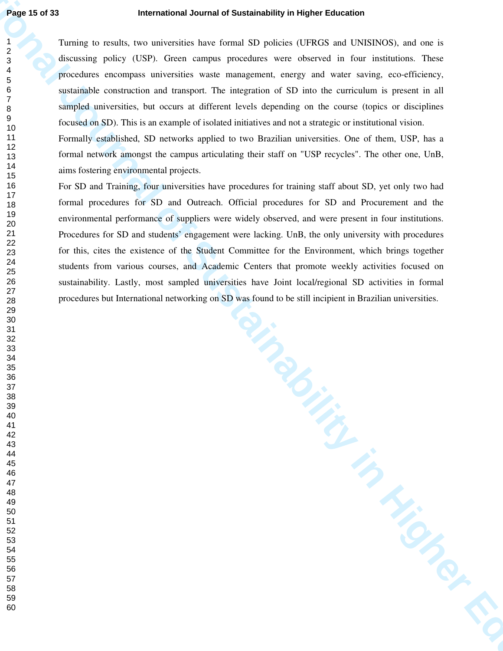#### **Page 15 of 33 International Journal of Sustainability in Higher Education**

| Turning to results, two universities have formal SD policies (UFRGS and UNISINOS), and one is<br>$\overline{2}$<br>discussing policy (USP). Green campus procedures were observed in four institutions. These<br>3<br>4<br>procedures encompass universities waste management, energy and water saving, eco-efficiency,<br>5<br>6<br>sustainable construction and transport. The integration of SD into the curriculum is present in all<br>7<br>sampled universities, but occurs at different levels depending on the course (topics or disciplines<br>8<br>9<br>focused on SD). This is an example of isolated initiatives and not a strategic or institutional vision.<br>10<br>11<br>Formally established, SD networks applied to two Brazilian universities. One of them, USP, has a<br>12<br>formal network amongst the campus articulating their staff on "USP recycles". The other one, UnB,<br>13<br>14<br>aims fostering environmental projects.<br>15<br>16<br>For SD and Training, four universities have procedures for training staff about SD, yet only two had<br>17<br>formal procedures for SD and Outreach. Official procedures for SD and Procurement and the<br>18<br>19<br>environmental performance of suppliers were widely observed, and were present in four institutions.<br>20<br>21<br>Procedures for SD and students' engagement were lacking. UnB, the only university with procedures<br>22<br>for this, cites the existence of the Student Committee for the Environment, which brings together<br>23<br>24<br>students from various courses, and Academic Centers that promote weekly activities focused on<br>25<br>$26\,$<br>sustainability. Lastly, most sampled universities have Joint local/regional SD activities in formal<br>27<br>procedures but International networking on SD was found to be still incipient in Brazilian universities.<br>28<br>29<br>30<br>31<br>$32\,$<br>33<br>34<br>35<br>36<br>37<br>38<br>39<br>40<br>41<br>42<br>43<br>44<br>in the contract of<br>45<br>46<br>47<br>48<br>49<br>50<br>51<br>52<br>53<br>54<br>55<br>56<br>57<br>58<br>59<br>60 | Page 15 of 33 | International Journal of Sustainability in Higher Education |
|------------------------------------------------------------------------------------------------------------------------------------------------------------------------------------------------------------------------------------------------------------------------------------------------------------------------------------------------------------------------------------------------------------------------------------------------------------------------------------------------------------------------------------------------------------------------------------------------------------------------------------------------------------------------------------------------------------------------------------------------------------------------------------------------------------------------------------------------------------------------------------------------------------------------------------------------------------------------------------------------------------------------------------------------------------------------------------------------------------------------------------------------------------------------------------------------------------------------------------------------------------------------------------------------------------------------------------------------------------------------------------------------------------------------------------------------------------------------------------------------------------------------------------------------------------------------------------------------------------------------------------------------------------------------------------------------------------------------------------------------------------------------------------------------------------------------------------------------------------------------------------------------------------------------------------------------------------------------------------------------------------------------------------------------------------------------------------------------------------------------|---------------|-------------------------------------------------------------|
|                                                                                                                                                                                                                                                                                                                                                                                                                                                                                                                                                                                                                                                                                                                                                                                                                                                                                                                                                                                                                                                                                                                                                                                                                                                                                                                                                                                                                                                                                                                                                                                                                                                                                                                                                                                                                                                                                                                                                                                                                                                                                                                        |               |                                                             |
|                                                                                                                                                                                                                                                                                                                                                                                                                                                                                                                                                                                                                                                                                                                                                                                                                                                                                                                                                                                                                                                                                                                                                                                                                                                                                                                                                                                                                                                                                                                                                                                                                                                                                                                                                                                                                                                                                                                                                                                                                                                                                                                        |               |                                                             |
|                                                                                                                                                                                                                                                                                                                                                                                                                                                                                                                                                                                                                                                                                                                                                                                                                                                                                                                                                                                                                                                                                                                                                                                                                                                                                                                                                                                                                                                                                                                                                                                                                                                                                                                                                                                                                                                                                                                                                                                                                                                                                                                        |               |                                                             |
|                                                                                                                                                                                                                                                                                                                                                                                                                                                                                                                                                                                                                                                                                                                                                                                                                                                                                                                                                                                                                                                                                                                                                                                                                                                                                                                                                                                                                                                                                                                                                                                                                                                                                                                                                                                                                                                                                                                                                                                                                                                                                                                        |               |                                                             |
|                                                                                                                                                                                                                                                                                                                                                                                                                                                                                                                                                                                                                                                                                                                                                                                                                                                                                                                                                                                                                                                                                                                                                                                                                                                                                                                                                                                                                                                                                                                                                                                                                                                                                                                                                                                                                                                                                                                                                                                                                                                                                                                        |               |                                                             |
|                                                                                                                                                                                                                                                                                                                                                                                                                                                                                                                                                                                                                                                                                                                                                                                                                                                                                                                                                                                                                                                                                                                                                                                                                                                                                                                                                                                                                                                                                                                                                                                                                                                                                                                                                                                                                                                                                                                                                                                                                                                                                                                        |               |                                                             |
|                                                                                                                                                                                                                                                                                                                                                                                                                                                                                                                                                                                                                                                                                                                                                                                                                                                                                                                                                                                                                                                                                                                                                                                                                                                                                                                                                                                                                                                                                                                                                                                                                                                                                                                                                                                                                                                                                                                                                                                                                                                                                                                        |               |                                                             |
|                                                                                                                                                                                                                                                                                                                                                                                                                                                                                                                                                                                                                                                                                                                                                                                                                                                                                                                                                                                                                                                                                                                                                                                                                                                                                                                                                                                                                                                                                                                                                                                                                                                                                                                                                                                                                                                                                                                                                                                                                                                                                                                        |               |                                                             |
|                                                                                                                                                                                                                                                                                                                                                                                                                                                                                                                                                                                                                                                                                                                                                                                                                                                                                                                                                                                                                                                                                                                                                                                                                                                                                                                                                                                                                                                                                                                                                                                                                                                                                                                                                                                                                                                                                                                                                                                                                                                                                                                        |               |                                                             |
|                                                                                                                                                                                                                                                                                                                                                                                                                                                                                                                                                                                                                                                                                                                                                                                                                                                                                                                                                                                                                                                                                                                                                                                                                                                                                                                                                                                                                                                                                                                                                                                                                                                                                                                                                                                                                                                                                                                                                                                                                                                                                                                        |               |                                                             |
|                                                                                                                                                                                                                                                                                                                                                                                                                                                                                                                                                                                                                                                                                                                                                                                                                                                                                                                                                                                                                                                                                                                                                                                                                                                                                                                                                                                                                                                                                                                                                                                                                                                                                                                                                                                                                                                                                                                                                                                                                                                                                                                        |               |                                                             |
|                                                                                                                                                                                                                                                                                                                                                                                                                                                                                                                                                                                                                                                                                                                                                                                                                                                                                                                                                                                                                                                                                                                                                                                                                                                                                                                                                                                                                                                                                                                                                                                                                                                                                                                                                                                                                                                                                                                                                                                                                                                                                                                        |               |                                                             |
|                                                                                                                                                                                                                                                                                                                                                                                                                                                                                                                                                                                                                                                                                                                                                                                                                                                                                                                                                                                                                                                                                                                                                                                                                                                                                                                                                                                                                                                                                                                                                                                                                                                                                                                                                                                                                                                                                                                                                                                                                                                                                                                        |               |                                                             |
|                                                                                                                                                                                                                                                                                                                                                                                                                                                                                                                                                                                                                                                                                                                                                                                                                                                                                                                                                                                                                                                                                                                                                                                                                                                                                                                                                                                                                                                                                                                                                                                                                                                                                                                                                                                                                                                                                                                                                                                                                                                                                                                        |               |                                                             |
|                                                                                                                                                                                                                                                                                                                                                                                                                                                                                                                                                                                                                                                                                                                                                                                                                                                                                                                                                                                                                                                                                                                                                                                                                                                                                                                                                                                                                                                                                                                                                                                                                                                                                                                                                                                                                                                                                                                                                                                                                                                                                                                        |               |                                                             |
|                                                                                                                                                                                                                                                                                                                                                                                                                                                                                                                                                                                                                                                                                                                                                                                                                                                                                                                                                                                                                                                                                                                                                                                                                                                                                                                                                                                                                                                                                                                                                                                                                                                                                                                                                                                                                                                                                                                                                                                                                                                                                                                        |               |                                                             |
|                                                                                                                                                                                                                                                                                                                                                                                                                                                                                                                                                                                                                                                                                                                                                                                                                                                                                                                                                                                                                                                                                                                                                                                                                                                                                                                                                                                                                                                                                                                                                                                                                                                                                                                                                                                                                                                                                                                                                                                                                                                                                                                        |               |                                                             |
|                                                                                                                                                                                                                                                                                                                                                                                                                                                                                                                                                                                                                                                                                                                                                                                                                                                                                                                                                                                                                                                                                                                                                                                                                                                                                                                                                                                                                                                                                                                                                                                                                                                                                                                                                                                                                                                                                                                                                                                                                                                                                                                        |               |                                                             |
|                                                                                                                                                                                                                                                                                                                                                                                                                                                                                                                                                                                                                                                                                                                                                                                                                                                                                                                                                                                                                                                                                                                                                                                                                                                                                                                                                                                                                                                                                                                                                                                                                                                                                                                                                                                                                                                                                                                                                                                                                                                                                                                        |               |                                                             |
|                                                                                                                                                                                                                                                                                                                                                                                                                                                                                                                                                                                                                                                                                                                                                                                                                                                                                                                                                                                                                                                                                                                                                                                                                                                                                                                                                                                                                                                                                                                                                                                                                                                                                                                                                                                                                                                                                                                                                                                                                                                                                                                        |               |                                                             |
|                                                                                                                                                                                                                                                                                                                                                                                                                                                                                                                                                                                                                                                                                                                                                                                                                                                                                                                                                                                                                                                                                                                                                                                                                                                                                                                                                                                                                                                                                                                                                                                                                                                                                                                                                                                                                                                                                                                                                                                                                                                                                                                        |               |                                                             |
|                                                                                                                                                                                                                                                                                                                                                                                                                                                                                                                                                                                                                                                                                                                                                                                                                                                                                                                                                                                                                                                                                                                                                                                                                                                                                                                                                                                                                                                                                                                                                                                                                                                                                                                                                                                                                                                                                                                                                                                                                                                                                                                        |               |                                                             |
|                                                                                                                                                                                                                                                                                                                                                                                                                                                                                                                                                                                                                                                                                                                                                                                                                                                                                                                                                                                                                                                                                                                                                                                                                                                                                                                                                                                                                                                                                                                                                                                                                                                                                                                                                                                                                                                                                                                                                                                                                                                                                                                        |               |                                                             |
|                                                                                                                                                                                                                                                                                                                                                                                                                                                                                                                                                                                                                                                                                                                                                                                                                                                                                                                                                                                                                                                                                                                                                                                                                                                                                                                                                                                                                                                                                                                                                                                                                                                                                                                                                                                                                                                                                                                                                                                                                                                                                                                        |               |                                                             |
|                                                                                                                                                                                                                                                                                                                                                                                                                                                                                                                                                                                                                                                                                                                                                                                                                                                                                                                                                                                                                                                                                                                                                                                                                                                                                                                                                                                                                                                                                                                                                                                                                                                                                                                                                                                                                                                                                                                                                                                                                                                                                                                        |               |                                                             |
|                                                                                                                                                                                                                                                                                                                                                                                                                                                                                                                                                                                                                                                                                                                                                                                                                                                                                                                                                                                                                                                                                                                                                                                                                                                                                                                                                                                                                                                                                                                                                                                                                                                                                                                                                                                                                                                                                                                                                                                                                                                                                                                        |               |                                                             |
|                                                                                                                                                                                                                                                                                                                                                                                                                                                                                                                                                                                                                                                                                                                                                                                                                                                                                                                                                                                                                                                                                                                                                                                                                                                                                                                                                                                                                                                                                                                                                                                                                                                                                                                                                                                                                                                                                                                                                                                                                                                                                                                        |               |                                                             |
|                                                                                                                                                                                                                                                                                                                                                                                                                                                                                                                                                                                                                                                                                                                                                                                                                                                                                                                                                                                                                                                                                                                                                                                                                                                                                                                                                                                                                                                                                                                                                                                                                                                                                                                                                                                                                                                                                                                                                                                                                                                                                                                        |               |                                                             |
|                                                                                                                                                                                                                                                                                                                                                                                                                                                                                                                                                                                                                                                                                                                                                                                                                                                                                                                                                                                                                                                                                                                                                                                                                                                                                                                                                                                                                                                                                                                                                                                                                                                                                                                                                                                                                                                                                                                                                                                                                                                                                                                        |               |                                                             |
|                                                                                                                                                                                                                                                                                                                                                                                                                                                                                                                                                                                                                                                                                                                                                                                                                                                                                                                                                                                                                                                                                                                                                                                                                                                                                                                                                                                                                                                                                                                                                                                                                                                                                                                                                                                                                                                                                                                                                                                                                                                                                                                        |               |                                                             |
|                                                                                                                                                                                                                                                                                                                                                                                                                                                                                                                                                                                                                                                                                                                                                                                                                                                                                                                                                                                                                                                                                                                                                                                                                                                                                                                                                                                                                                                                                                                                                                                                                                                                                                                                                                                                                                                                                                                                                                                                                                                                                                                        |               |                                                             |
|                                                                                                                                                                                                                                                                                                                                                                                                                                                                                                                                                                                                                                                                                                                                                                                                                                                                                                                                                                                                                                                                                                                                                                                                                                                                                                                                                                                                                                                                                                                                                                                                                                                                                                                                                                                                                                                                                                                                                                                                                                                                                                                        |               |                                                             |
|                                                                                                                                                                                                                                                                                                                                                                                                                                                                                                                                                                                                                                                                                                                                                                                                                                                                                                                                                                                                                                                                                                                                                                                                                                                                                                                                                                                                                                                                                                                                                                                                                                                                                                                                                                                                                                                                                                                                                                                                                                                                                                                        |               |                                                             |
|                                                                                                                                                                                                                                                                                                                                                                                                                                                                                                                                                                                                                                                                                                                                                                                                                                                                                                                                                                                                                                                                                                                                                                                                                                                                                                                                                                                                                                                                                                                                                                                                                                                                                                                                                                                                                                                                                                                                                                                                                                                                                                                        |               |                                                             |
|                                                                                                                                                                                                                                                                                                                                                                                                                                                                                                                                                                                                                                                                                                                                                                                                                                                                                                                                                                                                                                                                                                                                                                                                                                                                                                                                                                                                                                                                                                                                                                                                                                                                                                                                                                                                                                                                                                                                                                                                                                                                                                                        |               |                                                             |
|                                                                                                                                                                                                                                                                                                                                                                                                                                                                                                                                                                                                                                                                                                                                                                                                                                                                                                                                                                                                                                                                                                                                                                                                                                                                                                                                                                                                                                                                                                                                                                                                                                                                                                                                                                                                                                                                                                                                                                                                                                                                                                                        |               |                                                             |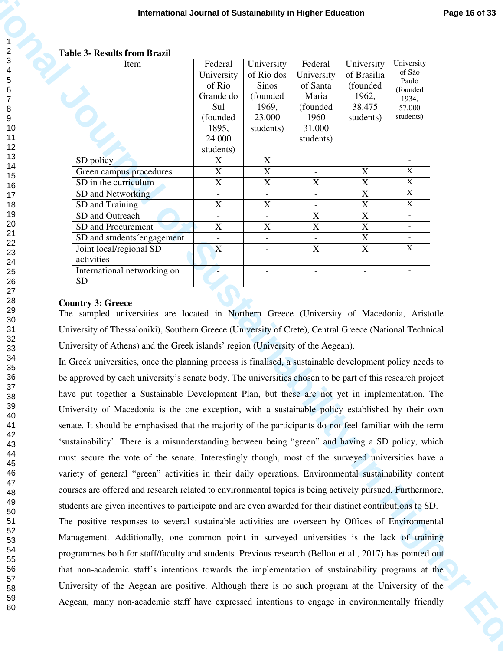| Item                                                                                                                                                                                                                                                                                                                 | Federal                       |                          |                                      |                                          |                      |
|----------------------------------------------------------------------------------------------------------------------------------------------------------------------------------------------------------------------------------------------------------------------------------------------------------------------|-------------------------------|--------------------------|--------------------------------------|------------------------------------------|----------------------|
|                                                                                                                                                                                                                                                                                                                      | University                    | University<br>of Rio dos | Federal<br>University                | University<br>of Brasilia                | University<br>of São |
|                                                                                                                                                                                                                                                                                                                      | of Rio                        | <b>Sinos</b>             | of Santa                             | (founded)                                | Paulo<br>(founded    |
|                                                                                                                                                                                                                                                                                                                      | Grande do                     | (founded)                | Maria                                | 1962,                                    | 1934,                |
|                                                                                                                                                                                                                                                                                                                      | Sul                           | 1969,                    | (founded)                            | 38.475                                   | 57.000               |
|                                                                                                                                                                                                                                                                                                                      | (founded)<br>1895,            | 23.000<br>students)      | 1960<br>31.000                       | students)                                | students)            |
|                                                                                                                                                                                                                                                                                                                      | 24.000                        |                          | students)                            |                                          |                      |
|                                                                                                                                                                                                                                                                                                                      | students)                     |                          |                                      |                                          |                      |
| SD policy<br>Green campus procedures                                                                                                                                                                                                                                                                                 | X<br>$\mathbf X$              | X<br>X                   | $\overline{\phantom{a}}$<br>$\omega$ | $\sim$<br>X                              | $\mathbf X$          |
| SD in the curriculum                                                                                                                                                                                                                                                                                                 | $\mathbf X$                   | X                        | X                                    | $\overline{\text{X}}$                    | $\mathbf X$          |
| SD and Networking                                                                                                                                                                                                                                                                                                    | $\blacksquare$                | $\sim$                   | $\sim$                               | $\overline{\text{X}}$                    | X                    |
| SD and Training                                                                                                                                                                                                                                                                                                      | X                             | X                        | $\blacksquare$                       | $\mathbf X$                              | $\mathbf X$          |
| SD and Outreach                                                                                                                                                                                                                                                                                                      | $\blacksquare$<br>$\mathbf X$ | $\sim$<br>X              | $\mathbf X$<br>X                     | $\mathbf X$<br>$\boldsymbol{\mathrm{X}}$ |                      |
| SD and Procurement<br>SD and students engagement                                                                                                                                                                                                                                                                     | $\overline{\phantom{a}}$      | $\overline{\phantom{a}}$ |                                      | $\overline{X}$                           |                      |
| Joint local/regional SD<br>activities                                                                                                                                                                                                                                                                                | X                             | $\overline{\phantom{a}}$ | $\mathbf X$                          | X                                        | X                    |
| International networking on<br><b>SD</b>                                                                                                                                                                                                                                                                             |                               |                          | $\overline{\phantom{a}}$             | $\overline{\phantom{a}}$                 |                      |
| <b>Country 3: Greece</b><br>The sampled universities are located in Northern Greece (University of Macedonia, Aristotle<br>University of Thessaloniki), Southern Greece (University of Crete), Central Greece (National Technical<br>University of Athens) and the Greek islands' region (University of the Aegean). |                               |                          |                                      |                                          |                      |
| In Greek universities, once the planning process is finalised, a sustainable development policy needs to                                                                                                                                                                                                             |                               |                          |                                      |                                          |                      |
| be approved by each university's senate body. The universities chosen to be part of this research project                                                                                                                                                                                                            |                               |                          |                                      |                                          |                      |
| have put together a Sustainable Development Plan, but these are not yet in implementation. The                                                                                                                                                                                                                       |                               |                          |                                      |                                          |                      |
| University of Macedonia is the one exception, with a sustainable policy established by their own                                                                                                                                                                                                                     |                               |                          |                                      |                                          |                      |
| senate. It should be emphasised that the majority of the participants do not feel familiar with the term                                                                                                                                                                                                             |                               |                          |                                      |                                          |                      |
| 'sustainability'. There is a misunderstanding between being "green" and having a SD policy, which                                                                                                                                                                                                                    |                               |                          |                                      |                                          |                      |
|                                                                                                                                                                                                                                                                                                                      |                               |                          |                                      |                                          |                      |
| must secure the vote of the senate. Interestingly though, most of the surveyed universities have a                                                                                                                                                                                                                   |                               |                          |                                      |                                          |                      |
| variety of general "green" activities in their daily operations. Environmental sustainability content                                                                                                                                                                                                                |                               |                          |                                      |                                          |                      |
| courses are offered and research related to environmental topics is being actively pursued. Furthermore,                                                                                                                                                                                                             |                               |                          |                                      |                                          |                      |
| students are given incentives to participate and are even awarded for their distinct contributions to SD.                                                                                                                                                                                                            |                               |                          |                                      |                                          |                      |
| The positive responses to several sustainable activities are overseen by Offices of Environmental                                                                                                                                                                                                                    |                               |                          |                                      |                                          |                      |
| Management. Additionally, one common point in surveyed universities is the lack of training                                                                                                                                                                                                                          |                               |                          |                                      |                                          |                      |
| programmes both for staff/faculty and students. Previous research (Bellou et al., 2017) has pointed out                                                                                                                                                                                                              |                               |                          |                                      |                                          |                      |
| that non-academic staff's intentions towards the implementation of sustainability programs at the                                                                                                                                                                                                                    |                               |                          |                                      |                                          |                      |
| University of the Aegean are positive. Although there is no such program at the University of the                                                                                                                                                                                                                    |                               |                          |                                      |                                          |                      |

# **Table 3- Results from Brazil**

#### **Country 3: Greece**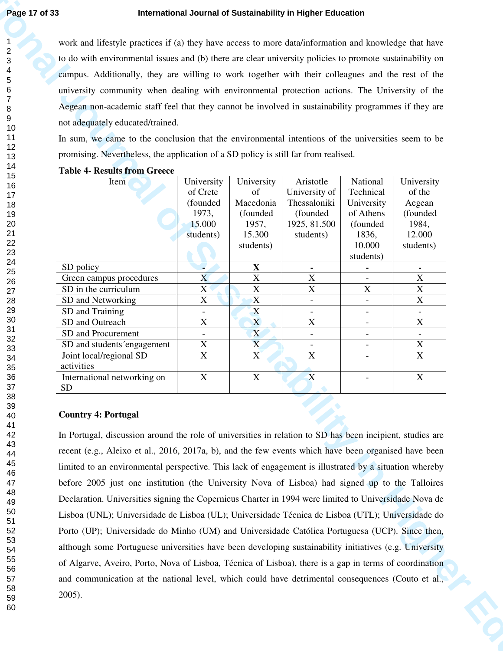#### **Page 17 of 33 International Journal of Sustainability in Higher Education**

| work and lifestyle practices if (a) they have access to more data/information and knowledge that have<br>to do with environmental issues and (b) there are clear university policies to promote sustainability on<br>campus. Additionally, they are willing to work together with their colleagues and the rest of the<br>university community when dealing with environmental protection actions. The University of the<br>Aegean non-academic staff feel that they cannot be involved in sustainability programmes if they are |                            |
|----------------------------------------------------------------------------------------------------------------------------------------------------------------------------------------------------------------------------------------------------------------------------------------------------------------------------------------------------------------------------------------------------------------------------------------------------------------------------------------------------------------------------------|----------------------------|
|                                                                                                                                                                                                                                                                                                                                                                                                                                                                                                                                  |                            |
|                                                                                                                                                                                                                                                                                                                                                                                                                                                                                                                                  |                            |
|                                                                                                                                                                                                                                                                                                                                                                                                                                                                                                                                  |                            |
|                                                                                                                                                                                                                                                                                                                                                                                                                                                                                                                                  |                            |
|                                                                                                                                                                                                                                                                                                                                                                                                                                                                                                                                  |                            |
| not adequately educated/trained.                                                                                                                                                                                                                                                                                                                                                                                                                                                                                                 |                            |
| In sum, we came to the conclusion that the environmental intentions of the universities seem to be                                                                                                                                                                                                                                                                                                                                                                                                                               |                            |
| promising. Nevertheless, the application of a SD policy is still far from realised.                                                                                                                                                                                                                                                                                                                                                                                                                                              |                            |
| <b>Table 4- Results from Greece</b>                                                                                                                                                                                                                                                                                                                                                                                                                                                                                              |                            |
| National<br>University<br>University<br>Aristotle<br>Item                                                                                                                                                                                                                                                                                                                                                                                                                                                                        | University                 |
| Technical<br>of Crete<br>of<br>University of                                                                                                                                                                                                                                                                                                                                                                                                                                                                                     | of the                     |
| Macedonia<br>Thessaloniki<br>(founded)<br>University<br>1973,<br>of Athens<br>(founded)<br>(founded)                                                                                                                                                                                                                                                                                                                                                                                                                             | Aegean<br>(founded)        |
| 15.000<br>1957,<br>1925, 81.500<br>(founded)                                                                                                                                                                                                                                                                                                                                                                                                                                                                                     | 1984,                      |
| 15.300<br>1836,<br>students)<br>students)<br>10.000<br>students)                                                                                                                                                                                                                                                                                                                                                                                                                                                                 | 12.000<br>students)        |
| students)                                                                                                                                                                                                                                                                                                                                                                                                                                                                                                                        |                            |
| $\mathbf X$<br>SD policy<br>$\boldsymbol{\mathrm{X}}$<br>X<br>$\mathbf{X}$<br>Green campus procedures<br>$\blacksquare$                                                                                                                                                                                                                                                                                                                                                                                                          | ٠<br>$\mathbf X$           |
| X<br>$\boldsymbol{\mathrm{X}}$<br>X<br>X<br>SD in the curriculum                                                                                                                                                                                                                                                                                                                                                                                                                                                                 | $\mathbf X$                |
| $\boldsymbol{\mathrm{X}}$<br>SD and Networking<br>X<br>$\overline{\phantom{a}}$<br>$\blacksquare$<br>$\mathbf X$<br>SD and Training<br>$\blacksquare$<br>$\blacksquare$                                                                                                                                                                                                                                                                                                                                                          | $\mathbf X$                |
| X<br>X<br>X<br>SD and Outreach<br>$\blacksquare$                                                                                                                                                                                                                                                                                                                                                                                                                                                                                 | $\mathbf X$                |
| SD and Procurement<br>$\boldsymbol{X}$<br>$\blacksquare$<br>$\blacksquare$<br>$\blacksquare$                                                                                                                                                                                                                                                                                                                                                                                                                                     | $\sim$                     |
| X<br>SD and students engagement<br>X<br>$\blacksquare$<br>$\mathbf X$<br>X<br>X<br>Joint local/regional SD                                                                                                                                                                                                                                                                                                                                                                                                                       | $\mathbf X$<br>$\mathbf X$ |
| activities<br>$\overline{X}$<br>$\mathbf X$<br>$\mathbf X$<br>International networking on<br><b>SD</b>                                                                                                                                                                                                                                                                                                                                                                                                                           | $\boldsymbol{\mathrm{X}}$  |
| <b>Country 4: Portugal</b><br>In Portugal, discussion around the role of universities in relation to SD has been incipient, studies are                                                                                                                                                                                                                                                                                                                                                                                          |                            |
| recent (e.g., Aleixo et al., 2016, 2017a, b), and the few events which have been organised have been                                                                                                                                                                                                                                                                                                                                                                                                                             |                            |
| limited to an environmental perspective. This lack of engagement is illustrated by a situation whereby                                                                                                                                                                                                                                                                                                                                                                                                                           |                            |
| before 2005 just one institution (the University Nova of Lisboa) had signed up to the Talloires                                                                                                                                                                                                                                                                                                                                                                                                                                  |                            |
| Declaration. Universities signing the Copernicus Charter in 1994 were limited to Universidade Nova de                                                                                                                                                                                                                                                                                                                                                                                                                            |                            |
| Lisboa (UNL); Universidade de Lisboa (UL); Universidade Técnica de Lisboa (UTL); Universidade do                                                                                                                                                                                                                                                                                                                                                                                                                                 |                            |
| Porto (UP); Universidade do Minho (UM) and Universidade Católica Portuguesa (UCP). Since then,                                                                                                                                                                                                                                                                                                                                                                                                                                   |                            |
| although some Portuguese universities have been developing sustainability initiatives (e.g. University                                                                                                                                                                                                                                                                                                                                                                                                                           |                            |
| of Algarve, Aveiro, Porto, Nova of Lisboa, Técnica of Lisboa), there is a gap in terms of coordination                                                                                                                                                                                                                                                                                                                                                                                                                           |                            |
| and communication at the national level, which could have detrimental consequences (Couto et al.,                                                                                                                                                                                                                                                                                                                                                                                                                                |                            |
| 2005).                                                                                                                                                                                                                                                                                                                                                                                                                                                                                                                           |                            |

## **Table 4- Results from Greece**

#### **Country 4: Portugal**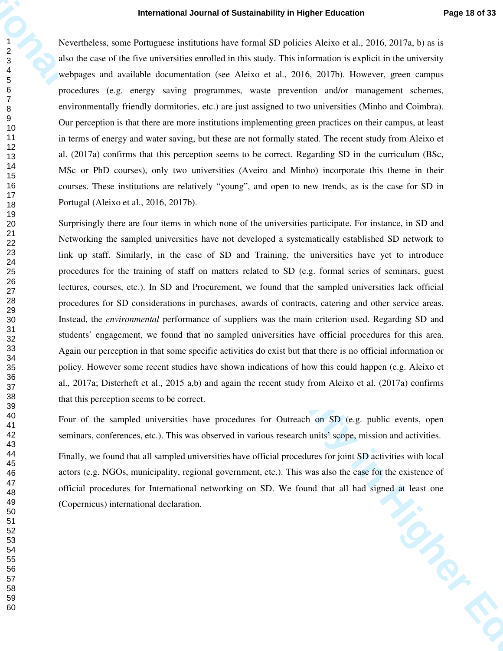#### **International Journal of Sustainability in Higher Education Page 18 of 33**

Nevertheless, some Portuguese institutions have formal SD policies Aleixo et al., 2016, 2017a, b) as is also the case of the five universities enrolled in this study. This information is explicit in the university webpages and available documentation (see Aleixo et al., 2016, 2017b). However, green campus procedures (e.g. energy saving programmes, waste prevention and/or management schemes, environmentally friendly dormitories, etc.) are just assigned to two universities (Minho and Coimbra). Our perception is that there are more institutions implementing green practices on their campus, at least in terms of energy and water saving, but these are not formally stated. The recent study from Aleixo et al. (2017a) confirms that this perception seems to be correct. Regarding SD in the curriculum (BSc, MSc or PhD courses), only two universities (Aveiro and Minho) incorporate this theme in their courses. These institutions are relatively "young", and open to new trends, as is the case for SD in Portugal (Aleixo et al., 2016, 2017b).

**International Journal of Sustainability in Higher Education**<br> **International Accor Diversion** Schullant metallity in Higher Education 2016. 2016, 2017, by a later the content<br>
of the final contribution by the content in Surprisingly there are four items in which none of the universities participate. For instance, in SD and Networking the sampled universities have not developed a systematically established SD network to link up staff. Similarly, in the case of SD and Training, the universities have yet to introduce procedures for the training of staff on matters related to SD (e.g. formal series of seminars, guest lectures, courses, etc.). In SD and Procurement, we found that the sampled universities lack official procedures for SD considerations in purchases, awards of contracts, catering and other service areas. Instead, the *environmental* performance of suppliers was the main criterion used. Regarding SD and students' engagement, we found that no sampled universities have official procedures for this area. Again our perception in that some specific activities do exist but that there is no official information or policy. However some recent studies have shown indications of how this could happen (e.g. Aleixo et al., 2017a; Disterheft et al., 2015 a,b) and again the recent study from Aleixo et al. (2017a) confirms that this perception seems to be correct.

Four of the sampled universities have procedures for Outreach on SD (e.g. public events, open seminars, conferences, etc.). This was observed in various research units' scope, mission and activities.

Finally, we found that all sampled universities have official procedures for joint SD activities with local actors (e.g. NGOs, municipality, regional government, etc.). This was also the case for the existence of official procedures for International networking on SD. We found that all had signed at least one (Copernicus) international declaration. (Copernicus) international declaration.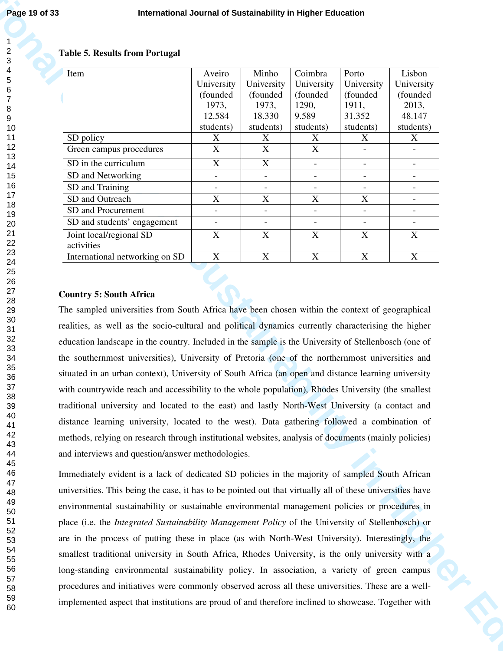# **Table 5. Results from Portugal**

| University<br>University<br>University<br>University<br>(founded)<br>(founded)<br>(founded)<br>(founded)<br>1973,<br>1290,<br>1973,<br>1911,                                                             |                        |
|----------------------------------------------------------------------------------------------------------------------------------------------------------------------------------------------------------|------------------------|
|                                                                                                                                                                                                          | University<br>(founded |
|                                                                                                                                                                                                          | 2013,                  |
| 9.589<br>18.330<br>12.584<br>31.352                                                                                                                                                                      | 48.147                 |
| students)<br>students)<br>students)<br>students)<br>SD policy<br>X<br>X<br>X<br>X                                                                                                                        | students)<br>X         |
| $\mathbf X$<br>X<br>$\overline{X}$<br>Green campus procedures<br>$\blacksquare$                                                                                                                          |                        |
| $\mathbf X$<br>$\boldsymbol{\mathrm{X}}$<br>SD in the curriculum<br>$\overline{\phantom{a}}$                                                                                                             |                        |
| SD and Networking<br>$\overline{\phantom{a}}$<br>$\blacksquare$<br>$\overline{\phantom{a}}$<br>$\overline{\phantom{a}}$                                                                                  |                        |
| SD and Training<br>$\blacksquare$                                                                                                                                                                        |                        |
| X<br>X<br>X<br>X<br>SD and Outreach                                                                                                                                                                      |                        |
| SD and Procurement<br>$\overline{\phantom{a}}$<br>$\overline{\phantom{a}}$<br>$\overline{\phantom{0}}$<br>$\sim$<br>$\overline{a}$<br>$\sim$                                                             |                        |
| SD and students' engagement<br>$\mathbf X$<br>X<br>$\mathbf X$<br>X<br>Joint local/regional SD                                                                                                           | X                      |
| activities                                                                                                                                                                                               |                        |
| $\mathbf X$<br>X<br>$\mathbf X$<br>$\mathbf X$<br>International networking on SD                                                                                                                         | $\mathbf X$            |
| education landscape in the country. Included in the sample is the University of Stellenbosch (one of<br>the southernmost universities), University of Pretoria (one of the northernmost universities and |                        |
|                                                                                                                                                                                                          |                        |
| situated in an urban context), University of South Africa (an open and distance learning university                                                                                                      |                        |
| with countrywide reach and accessibility to the whole population), Rhodes University (the smallest                                                                                                       |                        |
|                                                                                                                                                                                                          |                        |
| traditional university and located to the east) and lastly North-West University (a contact and                                                                                                          |                        |
| distance learning university, located to the west). Data gathering followed a combination of                                                                                                             |                        |
| methods, relying on research through institutional websites, analysis of documents (mainly policies)                                                                                                     |                        |
| and interviews and question/answer methodologies.                                                                                                                                                        |                        |
| Immediately evident is a lack of dedicated SD policies in the majority of sampled South African                                                                                                          |                        |
|                                                                                                                                                                                                          |                        |
| universities. This being the case, it has to be pointed out that virtually all of these universities have                                                                                                |                        |
| environmental sustainability or sustainable environmental management policies or procedures in                                                                                                           |                        |
| place (i.e. the <i>Integrated Sustainability Management Policy</i> of the University of Stellenbosch) or                                                                                                 |                        |
| are in the process of putting these in place (as with North-West University). Interestingly, the                                                                                                         |                        |
| smallest traditional university in South Africa, Rhodes University, is the only university with a                                                                                                        |                        |
| long-standing environmental sustainability policy. In association, a variety of green campus<br>procedures and initiatives were commonly observed across all these universities. These are a well-       |                        |

## **Country 5: South Africa**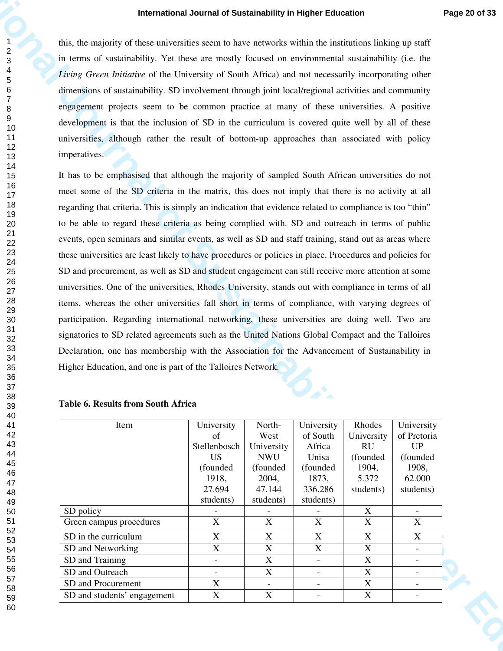this, the majority of these universities seem to have networks within the institutions linking up staff in terms of sustainability. Yet these are mostly focused on environmental sustainability (i.e. the *Living Green Initiative* of the University of South Africa) and not necessarily incorporating other dimensions of sustainability. SD involvement through joint local/regional activities and community engagement projects seem to be common practice at many of these universities. A positive development is that the inclusion of SD in the curriculum is covered quite well by all of these universities, although rather the result of bottom-up approaches than associated with policy imperatives.

**International Journal of Sustainability in Higher Education**<br> **In terms of unstrained will be an international of the minimization Linking part<br>
<b>I** in terms of unstrained by the three area modely focused on exchanged me It has to be emphasised that although the majority of sampled South African universities do not meet some of the SD criteria in the matrix, this does not imply that there is no activity at all regarding that criteria. This is simply an indication that evidence related to compliance is too "thin" to be able to regard these criteria as being complied with. SD and outreach in terms of public events, open seminars and similar events, as well as SD and staff training, stand out as areas where these universities are least likely to have procedures or policies in place. Procedures and policies for SD and procurement, as well as SD and student engagement can still receive more attention at some universities. One of the universities, Rhodes University, stands out with compliance in terms of all items, whereas the other universities fall short in terms of compliance, with varying degrees of participation. Regarding international networking, these universities are doing well. Two are signatories to SD related agreements such as the United Nations Global Compact and the Talloires Declaration, one has membership with the Association for the Advancement of Sustainability in Higher Education, and one is part of the Talloires Network.

| Item                        | University      | North-     | University               | Rhodes     | University  |
|-----------------------------|-----------------|------------|--------------------------|------------|-------------|
|                             | of              | West       | of South                 | University | of Pretoria |
|                             | Stellenbosch    | University | Africa                   | <b>RU</b>  | UP          |
|                             | US <sup>-</sup> | <b>NWU</b> | Unisa                    | (founded)  | (founded)   |
|                             | (founded)       | (founded)  | (founded)                | 1904,      | 1908,       |
|                             | 1918,           | 2004,      | 1873,                    | 5.372      | 62.000      |
|                             | 27.694          | 47.144     | 336.286                  | students)  | students)   |
|                             | students)       | students)  | students)                |            |             |
| SD policy                   |                 |            |                          | X          |             |
| Green campus procedures     | X               | X          | X                        | X          | X           |
| SD in the curriculum        | X               | X          | X                        | X          | X           |
| SD and Networking           | X               | X          | X                        | X          |             |
| SD and Training             |                 | X          |                          | X          |             |
| SD and Outreach             |                 | X          | $\overline{\phantom{a}}$ | X          |             |
| SD and Procurement          | X               |            |                          | X          |             |
| SD and students' engagement | X               | X          |                          | X          |             |

#### **Table 6. Results from South Africa**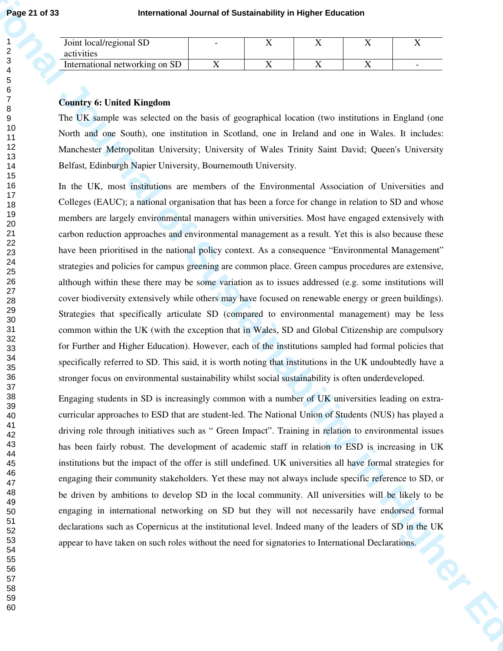| Joint local/regional SD<br>activities |  |  |  |
|---------------------------------------|--|--|--|
| International networking on SD        |  |  |  |

# **Country 6: United Kingdom**

The UK sample was selected on the basis of geographical location (two institutions in England (one North and one South), one institution in Scotland, one in Ireland and one in Wales. It includes: Manchester Metropolitan University; University of Wales Trinity Saint David; Queen's University Belfast, Edinburgh Napier University, Bournemouth University.

**Page 21 of 33**<br> **International Journal of Sustainability in Higher Education**<br> **International Sustainability in Text**<br> **International Sustainability in Text** X X X X 3<br> **International Method Mugdin in Text** 3<br> **Internati** In the UK, most institutions are members of the Environmental Association of Universities and Colleges (EAUC); a national organisation that has been a force for change in relation to SD and whose members are largely environmental managers within universities. Most have engaged extensively with carbon reduction approaches and environmental management as a result. Yet this is also because these have been prioritised in the national policy context. As a consequence "Environmental Management" strategies and policies for campus greening are common place. Green campus procedures are extensive, although within these there may be some variation as to issues addressed (e.g. some institutions will cover biodiversity extensively while others may have focused on renewable energy or green buildings). Strategies that specifically articulate SD (compared to environmental management) may be less common within the UK (with the exception that in Wales, SD and Global Citizenship are compulsory for Further and Higher Education). However, each of the institutions sampled had formal policies that specifically referred to SD. This said, it is worth noting that institutions in the UK undoubtedly have a stronger focus on environmental sustainability whilst social sustainability is often underdeveloped.

Engaging students in SD is increasingly common with a number of UK universities leading on extracurricular approaches to ESD that are student-led. The National Union of Students (NUS) has played a driving role through initiatives such as " Green Impact". Training in relation to environmental issues has been fairly robust. The development of academic staff in relation to ESD is increasing in UK institutions but the impact of the offer is still undefined. UK universities all have formal strategies for engaging their community stakeholders. Yet these may not always include specific reference to SD, or be driven by ambitions to develop SD in the local community. All universities will be likely to be engaging in international networking on SD but they will not necessarily have endorsed formal declarations such as Copernicus at the institutional level. Indeed many of the leaders of SD in the UK appear to have taken on such roles without the need for signatories to International Declarations.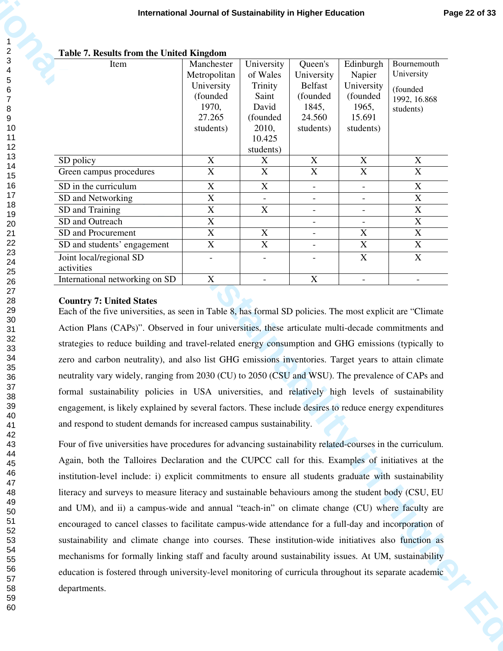| Item                                                                                                                                                                           |                                                                                      | University                                                                        | Queen's                                                                  | Edinburgh                                                        | Bournemouth                                         |
|--------------------------------------------------------------------------------------------------------------------------------------------------------------------------------|--------------------------------------------------------------------------------------|-----------------------------------------------------------------------------------|--------------------------------------------------------------------------|------------------------------------------------------------------|-----------------------------------------------------|
|                                                                                                                                                                                | Manchester<br>Metropolitan<br>University<br>(founded<br>1970,<br>27.265<br>students) | of Wales<br>Trinity<br>Saint<br>David<br>(founded<br>2010,<br>10.425<br>students) | University<br><b>Belfast</b><br>(founded<br>1845,<br>24.560<br>students) | Napier<br>University<br>(founded<br>1965,<br>15.691<br>students) | University<br>(founded<br>1992, 16.868<br>students) |
| SD policy<br>Green campus procedures                                                                                                                                           | X<br>X                                                                               | X<br>X                                                                            | X<br>X                                                                   | X<br>X                                                           | X<br>X                                              |
| SD in the curriculum                                                                                                                                                           | X                                                                                    | $\mathbf X$                                                                       | $\blacksquare$                                                           | $\sim$                                                           | X                                                   |
| SD and Networking                                                                                                                                                              | $\boldsymbol{\mathrm{X}}$                                                            |                                                                                   | $\overline{\phantom{a}}$                                                 |                                                                  | X                                                   |
| SD and Training<br>SD and Outreach                                                                                                                                             | X<br>X                                                                               | $\mathbf X$                                                                       | $\blacksquare$                                                           |                                                                  | $\mathbf X$<br>$\mathbf X$                          |
| SD and Procurement                                                                                                                                                             | $\overline{\text{X}}$                                                                | $\overline{X}$                                                                    | $\sim$<br>$\overline{a}$                                                 | $\mathbf X$                                                      | $\mathbf X$                                         |
| SD and students' engagement                                                                                                                                                    | X                                                                                    | $\mathbf X$                                                                       | $\overline{\phantom{a}}$                                                 | $\mathbf X$                                                      | $\boldsymbol{\mathrm{X}}$                           |
| Joint local/regional SD                                                                                                                                                        |                                                                                      |                                                                                   |                                                                          | $\mathbf X$                                                      | $\mathbf X$                                         |
| activities<br>International networking on SD                                                                                                                                   | $\mathbf X$                                                                          | $\sim$                                                                            | $\mathbf X$                                                              | $\blacksquare$                                                   | $\overline{\phantom{a}}$                            |
| strategies to reduce building and travel-related energy consumption and GHG emissions (typically to                                                                            |                                                                                      |                                                                                   |                                                                          |                                                                  |                                                     |
| zero and carbon neutrality), and also list GHG emissions inventories. Target years to attain climate                                                                           |                                                                                      |                                                                                   |                                                                          |                                                                  |                                                     |
| neutrality vary widely, ranging from 2030 (CU) to 2050 (CSU and WSU). The prevalence of CAPs and                                                                               |                                                                                      |                                                                                   |                                                                          |                                                                  |                                                     |
| formal sustainability policies in USA universities, and relatively high levels of sustainability                                                                               |                                                                                      |                                                                                   |                                                                          |                                                                  |                                                     |
| engagement, is likely explained by several factors. These include desires to reduce energy expenditures<br>and respond to student demands for increased campus sustainability. |                                                                                      |                                                                                   |                                                                          |                                                                  |                                                     |
| Four of five universities have procedures for advancing sustainability related-courses in the curriculum.                                                                      |                                                                                      |                                                                                   |                                                                          |                                                                  |                                                     |
| Again, both the Talloires Declaration and the CUPCC call for this. Examples of initiatives at the                                                                              |                                                                                      |                                                                                   |                                                                          |                                                                  |                                                     |
| institution-level include: i) explicit commitments to ensure all students graduate with sustainability                                                                         |                                                                                      |                                                                                   |                                                                          |                                                                  |                                                     |
| literacy and surveys to measure literacy and sustainable behaviours among the student body (CSU, EU                                                                            |                                                                                      |                                                                                   |                                                                          |                                                                  |                                                     |
| and UM), and ii) a campus-wide and annual "teach-in" on climate change (CU) where faculty are                                                                                  |                                                                                      |                                                                                   |                                                                          |                                                                  |                                                     |
| encouraged to cancel classes to facilitate campus-wide attendance for a full-day and incorporation of                                                                          |                                                                                      |                                                                                   |                                                                          |                                                                  |                                                     |
| sustainability and climate change into courses. These institution-wide initiatives also function as                                                                            |                                                                                      |                                                                                   |                                                                          |                                                                  |                                                     |
| mechanisms for formally linking staff and faculty around sustainability issues. At UM, sustainability                                                                          |                                                                                      |                                                                                   |                                                                          |                                                                  |                                                     |
| education is fostered through university-level monitoring of curricula throughout its separate academic                                                                        |                                                                                      |                                                                                   |                                                                          |                                                                  |                                                     |

# **Table 7. Results from the United Kingdom**

# **Country 7: United States**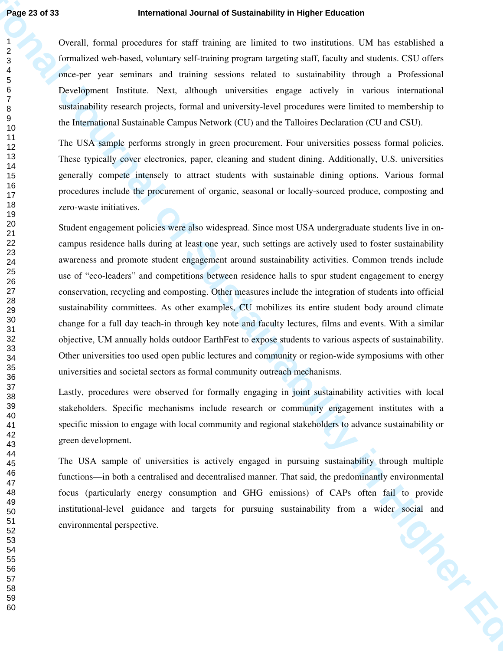## **Page 23 of 33 International Journal of Sustainability in Higher Education**

Overall, formal procedures for staff training are limited to two institutions. UM has established a formalized web-based, voluntary self-training program targeting staff, faculty and students. CSU offers once-per year seminars and training sessions related to sustainability through a Professional Development Institute. Next, although universities engage actively in various international sustainability research projects, formal and university-level procedures were limited to membership to the International Sustainable Campus Network (CU) and the Talloires Declaration (CU and CSU).

The USA sample performs strongly in green procurement. Four universities possess formal policies. These typically cover electronics, paper, cleaning and student dining. Additionally, U.S. universities generally compete intensely to attract students with sustainable dining options. Various formal procedures include the procurement of organic, seasonal or locally-sourced produce, composting and zero-waste initiatives.

**<b>Fage 21 of 33**<br>**Correll, formal processes for each "during are limited to our indications. USA that can be a smaller than the substituted in the contribution of the smaller term is the smaller term in the smaller term i** Student engagement policies were also widespread. Since most USA undergraduate students live in oncampus residence halls during at least one year, such settings are actively used to foster sustainability awareness and promote student engagement around sustainability activities. Common trends include use of "eco-leaders" and competitions between residence halls to spur student engagement to energy conservation, recycling and composting. Other measures include the integration of students into official sustainability committees. As other examples, CU mobilizes its entire student body around climate change for a full day teach-in through key note and faculty lectures, films and events. With a similar objective, UM annually holds outdoor EarthFest to expose students to various aspects of sustainability. Other universities too used open public lectures and community or region-wide symposiums with other universities and societal sectors as formal community outreach mechanisms.

Lastly, procedures were observed for formally engaging in joint sustainability activities with local stakeholders. Specific mechanisms include research or community engagement institutes with a specific mission to engage with local community and regional stakeholders to advance sustainability or green development.

The USA sample of universities is actively engaged in pursuing sustainability through multiple functions—in both a centralised and decentralised manner. That said, the predominantly environmental focus (particularly energy consumption and GHG emissions) of CAPs often fail to provide<br>institutional-level guidance and targets for pursuing sustainability from a wider social and<br>environmental perspective. institutional-level guidance and targets for pursuing sustainability from a wider social and environmental perspective.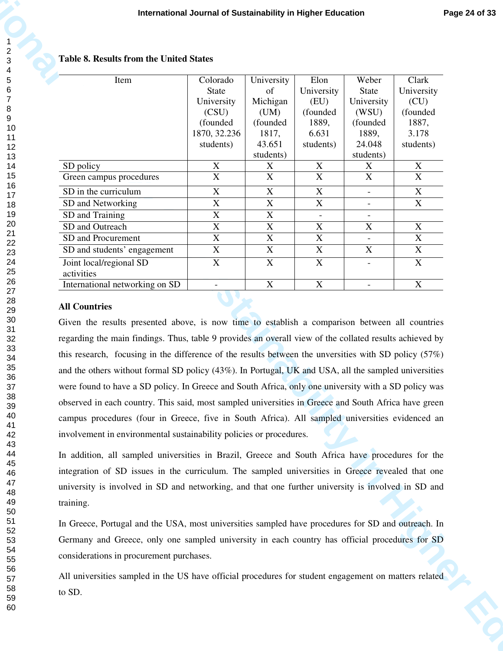# **Table 8. Results from the United States**

| Item                                                                                                                                                                                                                                                                                                                                                                                                                                                                                                                                                                                                                                                                                                                                                                                                                                                                                                                                                                                                                                                                                                                                         | Colorado                                                                      | University                                                          | Elon                                                          | Weber                                                                           | Clark                                                         |
|----------------------------------------------------------------------------------------------------------------------------------------------------------------------------------------------------------------------------------------------------------------------------------------------------------------------------------------------------------------------------------------------------------------------------------------------------------------------------------------------------------------------------------------------------------------------------------------------------------------------------------------------------------------------------------------------------------------------------------------------------------------------------------------------------------------------------------------------------------------------------------------------------------------------------------------------------------------------------------------------------------------------------------------------------------------------------------------------------------------------------------------------|-------------------------------------------------------------------------------|---------------------------------------------------------------------|---------------------------------------------------------------|---------------------------------------------------------------------------------|---------------------------------------------------------------|
|                                                                                                                                                                                                                                                                                                                                                                                                                                                                                                                                                                                                                                                                                                                                                                                                                                                                                                                                                                                                                                                                                                                                              | <b>State</b><br>University<br>(CSU)<br>(founded)<br>1870, 32.236<br>students) | of<br>Michigan<br>(UM)<br>(founded)<br>1817,<br>43.651<br>students) | University<br>(EU)<br>(founded<br>1889,<br>6.631<br>students) | <b>State</b><br>University<br>(WSU)<br>(founded<br>1889,<br>24.048<br>students) | University<br>(CU)<br>(founded<br>1887,<br>3.178<br>students) |
| SD policy                                                                                                                                                                                                                                                                                                                                                                                                                                                                                                                                                                                                                                                                                                                                                                                                                                                                                                                                                                                                                                                                                                                                    | X                                                                             | X                                                                   | X                                                             | X                                                                               | X                                                             |
| Green campus procedures                                                                                                                                                                                                                                                                                                                                                                                                                                                                                                                                                                                                                                                                                                                                                                                                                                                                                                                                                                                                                                                                                                                      | $\boldsymbol{\mathrm{X}}$                                                     | X                                                                   | $\overline{X}$                                                | X                                                                               | $\boldsymbol{\mathrm{X}}$                                     |
| SD in the curriculum<br>SD and Networking                                                                                                                                                                                                                                                                                                                                                                                                                                                                                                                                                                                                                                                                                                                                                                                                                                                                                                                                                                                                                                                                                                    | X<br>$\mathbf X$                                                              | X<br>X                                                              | X<br>$\mathbf X$                                              | $\blacksquare$<br>$\overline{\phantom{a}}$                                      | X<br>$\mathbf X$                                              |
| SD and Training                                                                                                                                                                                                                                                                                                                                                                                                                                                                                                                                                                                                                                                                                                                                                                                                                                                                                                                                                                                                                                                                                                                              | X                                                                             | X                                                                   | $\blacksquare$                                                | $\blacksquare$                                                                  |                                                               |
| SD and Outreach                                                                                                                                                                                                                                                                                                                                                                                                                                                                                                                                                                                                                                                                                                                                                                                                                                                                                                                                                                                                                                                                                                                              | $\mathbf X$                                                                   | $\mathbf X$                                                         | $\mathbf X$                                                   | X                                                                               | X                                                             |
| SD and Procurement<br>SD and students' engagement                                                                                                                                                                                                                                                                                                                                                                                                                                                                                                                                                                                                                                                                                                                                                                                                                                                                                                                                                                                                                                                                                            | $\mathbf X$<br>X                                                              | X<br>X                                                              | $\overline{X}$<br>$\mathbf X$                                 | $\blacksquare$<br>X                                                             | X<br>X                                                        |
| Joint local/regional SD                                                                                                                                                                                                                                                                                                                                                                                                                                                                                                                                                                                                                                                                                                                                                                                                                                                                                                                                                                                                                                                                                                                      | X                                                                             | X                                                                   | X                                                             |                                                                                 | X                                                             |
| activities<br>International networking on SD                                                                                                                                                                                                                                                                                                                                                                                                                                                                                                                                                                                                                                                                                                                                                                                                                                                                                                                                                                                                                                                                                                 | $\blacksquare$                                                                | $\mathbf X$                                                         | $\overline{X}$                                                | $\equiv$                                                                        | X                                                             |
| this research, focusing in the difference of the results between the unversities with SD policy $(57%)$<br>and the others without formal SD policy (43%). In Portugal, UK and USA, all the sampled universities<br>were found to have a SD policy. In Greece and South Africa, only one university with a SD policy was<br>observed in each country. This said, most sampled universities in Greece and South Africa have green<br>campus procedures (four in Greece, five in South Africa). All sampled universities evidenced an<br>involvement in environmental sustainability policies or procedures.<br>In addition, all sampled universities in Brazil, Greece and South Africa have procedures for the<br>integration of SD issues in the curriculum. The sampled universities in Greece revealed that one<br>university is involved in SD and networking, and that one further university is involved in SD and<br>training.<br>In Greece, Portugal and the USA, most universities sampled have procedures for SD and outreach. In<br>Germany and Greece, only one sampled university in each country has official procedures for SD |                                                                               |                                                                     |                                                               |                                                                                 |                                                               |
| considerations in procurement purchases.<br>All universities sampled in the US have official procedures for student engagement on matters related<br>to SD.                                                                                                                                                                                                                                                                                                                                                                                                                                                                                                                                                                                                                                                                                                                                                                                                                                                                                                                                                                                  |                                                                               |                                                                     |                                                               |                                                                                 |                                                               |

# **All Countries**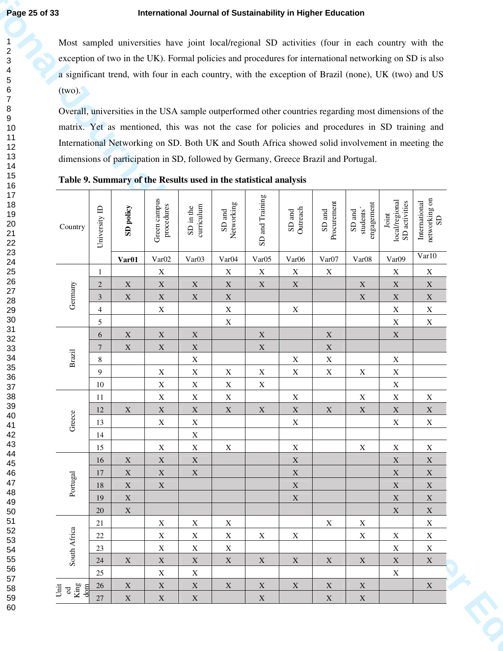# **Page 25 of 33 International Journal of Sustainability in Higher Education**

| Page 25 of 33                                   |                                                                                                                                                                                                    |                            |                                                                  |                               |                              |                            | International Journal of Sustainability in Higher Education                         |                               |                                            |                                          |                                |  |  |
|-------------------------------------------------|----------------------------------------------------------------------------------------------------------------------------------------------------------------------------------------------------|----------------------------|------------------------------------------------------------------|-------------------------------|------------------------------|----------------------------|-------------------------------------------------------------------------------------|-------------------------------|--------------------------------------------|------------------------------------------|--------------------------------|--|--|
|                                                 | Most sampled universities have joint local/regional SD activities (four in each country with the                                                                                                   |                            |                                                                  |                               |                              |                            |                                                                                     |                               |                                            |                                          |                                |  |  |
|                                                 | exception of two in the UK). Formal policies and procedures for international networking on SD is also                                                                                             |                            |                                                                  |                               |                              |                            |                                                                                     |                               |                                            |                                          |                                |  |  |
|                                                 | a significant trend, with four in each country, with the exception of Brazil (none), UK (two) and US<br>$(two)$ .                                                                                  |                            |                                                                  |                               |                              |                            |                                                                                     |                               |                                            |                                          |                                |  |  |
|                                                 | Overall, universities in the USA sample outperformed other countries regarding most dimensions of the                                                                                              |                            |                                                                  |                               |                              |                            |                                                                                     |                               |                                            |                                          |                                |  |  |
|                                                 |                                                                                                                                                                                                    |                            |                                                                  |                               |                              |                            |                                                                                     |                               |                                            |                                          |                                |  |  |
|                                                 | matrix. Yet as mentioned, this was not the case for policies and procedures in SD training and<br>International Networking on SD. Both UK and South Africa showed solid involvement in meeting the |                            |                                                                  |                               |                              |                            |                                                                                     |                               |                                            |                                          |                                |  |  |
|                                                 |                                                                                                                                                                                                    |                            |                                                                  |                               |                              |                            | dimensions of participation in SD, followed by Germany, Greece Brazil and Portugal. |                               |                                            |                                          |                                |  |  |
|                                                 |                                                                                                                                                                                                    |                            |                                                                  |                               |                              |                            |                                                                                     |                               |                                            |                                          |                                |  |  |
|                                                 |                                                                                                                                                                                                    |                            | Table 9. Summary of the Results used in the statistical analysis |                               |                              |                            |                                                                                     |                               |                                            |                                          |                                |  |  |
|                                                 |                                                                                                                                                                                                    |                            | Green campus<br>procedures                                       |                               |                              | SD and Training            |                                                                                     |                               |                                            |                                          | International<br>networking on |  |  |
| Country                                         | University ID                                                                                                                                                                                      | SD policy                  | Green                                                            | SD in the<br>curriculum<br>SD | Networking<br>${\bf SD}$ and |                            | SD and<br>Outreach                                                                  | Procurement<br>${\bf SD}$ and | engagement<br>$\rm SD$ and $\rm students'$ | local/regional<br>SD activities<br>Joint | S <sub>D</sub>                 |  |  |
|                                                 |                                                                                                                                                                                                    |                            |                                                                  |                               |                              |                            |                                                                                     |                               |                                            |                                          |                                |  |  |
|                                                 |                                                                                                                                                                                                    | Var01                      | Var02                                                            | Var03                         | Var04                        | Var05                      | Var06                                                                               | Var07                         | Var08                                      | Var09                                    | $\operatorname{Var}10$         |  |  |
|                                                 | -1<br>$\overline{c}$                                                                                                                                                                               | $\mathbf X$                | $\mathbf X$<br>$\mathbf X$                                       | $\mathbf X$                   | $\mathbf X$<br>$\mathbf X$   | $\mathbf X$<br>$\mathbf X$ | $\mathbf X$<br>$\mathbf X$                                                          | $\mathbf X$                   | $\mathbf X$                                | $\mathbf X$<br>$\mathbf X$               | $\mathbf X$<br>$\mathbf X$     |  |  |
| Germany                                         | $\mathbf{3}$                                                                                                                                                                                       | $\mathbf X$                | $\mathbf X$                                                      | $\mathbf X$                   | $\mathbf X$                  |                            |                                                                                     |                               | $\mathbf X$                                | $\mathbf X$                              | $\mathbf X$                    |  |  |
|                                                 | $\overline{4}$<br>5                                                                                                                                                                                |                            | $\mathbf X$                                                      |                               | $\mathbf X$<br>$\mathbf X$   |                            | $\mathbf X$                                                                         |                               |                                            | $\mathbf X$<br>$\mathbf X$               | $\mathbf X$<br>$\mathbf X$     |  |  |
|                                                 | 6                                                                                                                                                                                                  | $\mathbf X$                | $\mathbf X$                                                      | $\mathbf X$                   |                              | $\mathbf X$                |                                                                                     | $\mathbf X$                   |                                            | $\mathbf X$                              |                                |  |  |
| Brazil                                          | $\overline{7}$                                                                                                                                                                                     | $\mathbf X$                | $\mathbf X$                                                      | $\mathbf X$<br>$\mathbf X$    |                              | $\mathbf X$                |                                                                                     | $\mathbf X$<br>$\mathbf X$    |                                            |                                          |                                |  |  |
|                                                 | $8\,$<br>9                                                                                                                                                                                         |                            | $\mathbf X$                                                      | $\mathbf X$                   | $\mathbf X$                  | $\mathbf X$                | $\mathbf X$<br>$\mathbf X$                                                          | $\mathbf X$                   | $\mathbf X$                                | $\mathbf X$<br>$\mathbf X$               |                                |  |  |
|                                                 | 10                                                                                                                                                                                                 |                            | $\mathbf X$                                                      | $\mathbf X$                   | $\mathbf X$                  | $\mathbf X$                |                                                                                     |                               |                                            | $\mathbf X$                              |                                |  |  |
|                                                 | 11<br>12                                                                                                                                                                                           | $\mathbf X$                | $\mathbf X$<br>$\mathbf X$                                       | $\mathbf X$<br>$\mathbf X$    | $\mathbf X$<br>$\mathbf X$   | $\mathbf X$                | $\mathbf X$<br>$\mathbf X$                                                          | $\mathbf X$                   | $\mathbf X$<br>$\mathbf X$                 | $\mathbf X$<br>$\mathbf X$               | $\mathbf X$<br>$\mathbf X$     |  |  |
| Greece                                          | 13                                                                                                                                                                                                 |                            | $\mathbf X$                                                      | $\mathbf X$                   |                              |                            | $\mathbf X$                                                                         |                               |                                            | $\boldsymbol{\mathrm{X}}$                | $\mathbf X$                    |  |  |
|                                                 | $14\,$<br>15                                                                                                                                                                                       |                            | $\mathbf X$                                                      | $\mathbf X$<br>$\mathbf X$    | $\mathbf X$                  |                            | $\mathbf X$                                                                         |                               | $\mathbf X$                                | $\mathbf X$                              | $\mathbf X$                    |  |  |
|                                                 | 16                                                                                                                                                                                                 | $\mathbf X$                | $\mathbf X$                                                      | $\mathbf X$                   |                              |                            | $\mathbf X$                                                                         |                               |                                            | $\boldsymbol{\mathrm{X}}$                | $\mathbf X$                    |  |  |
| Portugal                                        | 17                                                                                                                                                                                                 | $\mathbf X$                | $\mathbf X$<br>$\mathbf X$                                       | $\mathbf X$                   |                              |                            | $\mathbf X$<br>$\mathbf X$                                                          |                               |                                            | $\mathbf X$<br>$\mathbf X$               | $\mathbf X$<br>$\mathbf X$     |  |  |
|                                                 | 18<br>19                                                                                                                                                                                           | $\mathbf X$<br>$\mathbf X$ |                                                                  |                               |                              |                            | $\mathbf X$                                                                         |                               |                                            | $\mathbf X$                              | $\mathbf X$                    |  |  |
|                                                 | $20\,$                                                                                                                                                                                             | $\mathbf X$                |                                                                  |                               |                              |                            |                                                                                     |                               |                                            | $\mathbf X$                              | $\mathbf X$                    |  |  |
|                                                 | $21\,$<br>22                                                                                                                                                                                       |                            | $\mathbf X$<br>$\mathbf X$                                       | $\mathbf X$<br>$\mathbf X$    | $\mathbf X$<br>$\mathbf X$   | $\mathbf X$                | $\mathbf X$                                                                         | $\mathbf X$                   | $\mathbf X$<br>$\mathbf X$                 | X                                        | $\mathbf X$<br>$\mathbf X$     |  |  |
| South Africa                                    | 23                                                                                                                                                                                                 |                            | $\mathbf X$                                                      | $\mathbf X$                   | $\mathbf X$                  |                            |                                                                                     |                               |                                            | $\mathbf X$                              | $\mathbf X$                    |  |  |
|                                                 | 24<br>25                                                                                                                                                                                           | $\bold{X}$                 | $\mathbf X$<br>$\mathbf X$                                       | $\mathbf X$<br>$\mathbf X$    | $\mathbf X$                  | $\mathbf X$                | $\mathbf X$                                                                         | $\bold{X}$                    | X                                          | $\mathbf X$<br>$\mathbf X$               | $\mathbf X$                    |  |  |
| King<br>Unit<br>$\frac{dm}{dt}$<br>$\mathbf{g}$ | 26                                                                                                                                                                                                 | $\boldsymbol{\mathrm{X}}$  | $\mathbf X$                                                      | $\mathbf X$                   | $\mathbf X$                  | $\mathbf X$                | $\mathbf X$                                                                         | $\mathbf X$                   | $\mathbf X$                                |                                          | $\mathbf X$                    |  |  |
|                                                 | 27                                                                                                                                                                                                 | $\mathbf X$                | $\mathbf X$                                                      | $\mathbf X$                   |                              | $\mathbf X$                |                                                                                     | $\mathbf X$                   | $\mathbf X$                                |                                          |                                |  |  |

**Table 9. Summary of the Results used in the statistical analysis**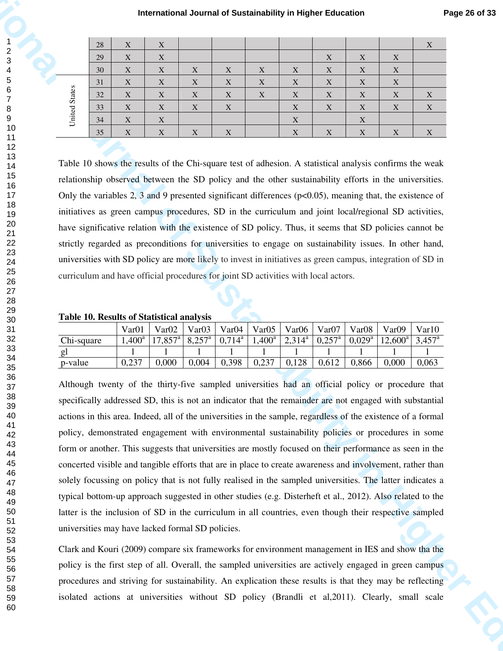|               | 28 | X | X |   |   |   |   |   |   |   | X           |
|---------------|----|---|---|---|---|---|---|---|---|---|-------------|
|               | 29 | X | X |   |   |   |   | X | X | X |             |
|               | 30 | X | X | X | X | X | X | X | X | X |             |
|               | 31 | X | X | X | X | X | X | X | X | X |             |
| <b>States</b> | 32 | X | X | X | X | X | X | X | X | X | $\mathbf X$ |
|               | 33 | X | X | X | X |   | X | X | X | X | X           |
| United        | 34 | X | X |   |   |   | X |   | X |   |             |
|               | 35 | X | X | X | X |   | X | X | X | X | $\mathbf X$ |

Table 10 shows the results of the Chi-square test of adhesion. A statistical analysis confirms the weak relationship observed between the SD policy and the other sustainability efforts in the universities. Only the variables 2, 3 and 9 presented significant differences (p<0.05), meaning that, the existence of initiatives as green campus procedures, SD in the curriculum and joint local/regional SD activities, have significative relation with the existence of SD policy. Thus, it seems that SD policies cannot be strictly regarded as preconditions for universities to engage on sustainability issues. In other hand, universities with SD policy are more likely to invest in initiatives as green campus, integration of SD in curriculum and have official procedures for joint SD activities with local actors.

**Table 10. Results of Statistical analysis** 

|            | Var <sub>01</sub> | Var02            | Var <sub>03</sub> | Var04 $\parallel$ | Var05           | Var06                                               | Var07 | Var08     | Var09                              | Var10 |
|------------|-------------------|------------------|-------------------|-------------------|-----------------|-----------------------------------------------------|-------|-----------|------------------------------------|-------|
| Chi-square | $1,400^{\rm a}$   | $17,857^{\circ}$ | $8,257^{\rm a}$   | $0,714^{\circ}$   | $1,400^{\rm a}$ | $\mid$ 2,314 <sup>a</sup> $\mid$ 0,257 <sup>a</sup> |       | $0.029^a$ | $12,600^{\circ}$   $3,457^{\circ}$ |       |
|            |                   |                  |                   |                   |                 |                                                     |       |           |                                    |       |
| p-value    |                   | 0,000            | 0,004             | 0,398             | 0,237           | 0,128                                               | 0,612 | 0,866     | 0,000                              | 0,063 |

**International Journal of Sustainability in Higher Education**<br> **International of Sustainability in A**  $\frac{1}{2}$  **A**  $\frac{1}{2}$  **A**  $\frac{1}{2}$  **A**  $\frac{1}{2}$  **A**  $\frac{1}{2}$  **A**  $\frac{1}{2}$  **A**  $\frac{1}{2}$  **A**  $\frac{1}{2}$  **A**  $\frac{1}{2$ Although twenty of the thirty-five sampled universities had an official policy or procedure that specifically addressed SD, this is not an indicator that the remainder are not engaged with substantial actions in this area. Indeed, all of the universities in the sample, regardless of the existence of a formal policy, demonstrated engagement with environmental sustainability policies or procedures in some form or another. This suggests that universities are mostly focused on their performance as seen in the concerted visible and tangible efforts that are in place to create awareness and involvement, rather than solely focussing on policy that is not fully realised in the sampled universities. The latter indicates a typical bottom-up approach suggested in other studies (e.g. Disterheft et al., 2012). Also related to the latter is the inclusion of SD in the curriculum in all countries, even though their respective sampled universities may have lacked formal SD policies.

Clark and Kouri (2009) compare six frameworks for environment management in IES and show tha the policy is the first step of all. Overall, the sampled universities are actively engaged in green campus procedures and striving for sustainability. An explication these results is that they may be reflecting isolated actions at universities without SD policy (Brandli et al, 2011). Clearly, small scale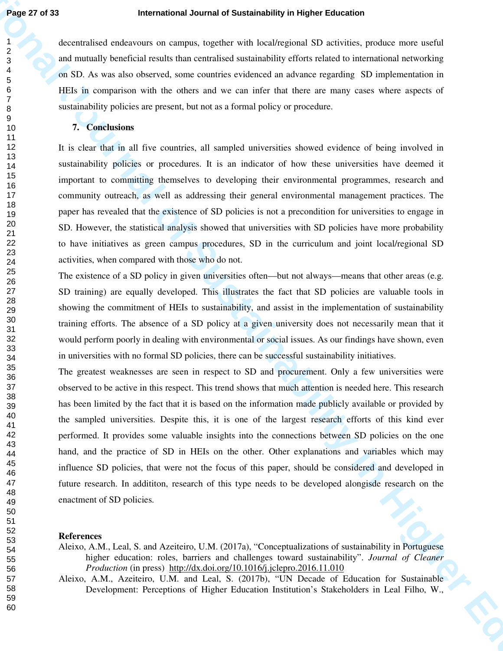#### **Page 27 of 33 International Journal of Sustainability in Higher Education**

decentralised endeavours on campus, together with local/regional SD activities, produce more useful and mutually beneficial results than centralised sustainability efforts related to international networking on SD. As was also observed, some countries evidenced an advance regarding SD implementation in HEIs in comparison with the others and we can infer that there are many cases where aspects of sustainability policies are present, but not as a formal policy or procedure.

#### **7. Conclusions**

It is clear that in all five countries, all sampled universities showed evidence of being involved in sustainability policies or procedures. It is an indicator of how these universities have deemed it important to committing themselves to developing their environmental programmes, research and community outreach, as well as addressing their general environmental management practices. The paper has revealed that the existence of SD policies is not a precondition for universities to engage in SD. However, the statistical analysis showed that universities with SD policies have more probability to have initiatives as green campus procedures, SD in the curriculum and joint local/regional SD activities, when compared with those who do not.

The existence of a SD policy in given universities often—but not always—means that other areas (e.g. SD training) are equally developed. This illustrates the fact that SD policies are valuable tools in showing the commitment of HEIs to sustainability, and assist in the implementation of sustainability training efforts. The absence of a SD policy at a given university does not necessarily mean that it would perform poorly in dealing with environmental or social issues. As our findings have shown, even in universities with no formal SD policies, there can be successful sustainability initiatives.

**<b>Page 27 of 33**<br> **International Journal of Sustainability in Higher Education**<br> **International of Subsection** of computer with boostheogenal SD articles, produce an<br> **International Section Anti-Anti-Anti-Anti-Anti-Anti-A** The greatest weaknesses are seen in respect to SD and procurement. Only a few universities were observed to be active in this respect. This trend shows that much attention is needed here. This research has been limited by the fact that it is based on the information made publicly available or provided by the sampled universities. Despite this, it is one of the largest research efforts of this kind ever performed. It provides some valuable insights into the connections between SD policies on the one hand, and the practice of SD in HEIs on the other. Other explanations and variables which may influence SD policies, that were not the focus of this paper, should be considered and developed in future research. In addititon, research of this type needs to be developed alongisde research on the enactment of SD policies.

#### **References**

- Aleixo, A.M., Leal, S. and Azeiteiro, U.M. (2017a), "Conceptualizations of sustainability in Portuguese higher education: roles, barriers and challenges toward sustainability". *Journal of Cleaner Production* (in press) http://dx.doi.org/10.1016/j.jclepro.2016.11.010
- Aleixo, A.M., Azeiteiro, U.M. and Leal, S. (2017b), "UN Decade of Education for Sustainable Development: Perceptions of Higher Education Institution's Stakeholders in Leal Filho, W.,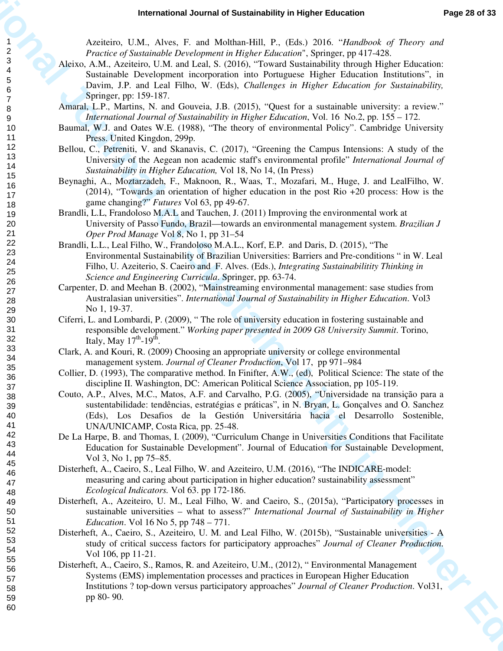Azeiteiro, U.M., Alves, F. and Molthan-Hill, P., (Eds.) 2016. "*Handbook of Theory and Practice of Sustainable Development in Higher Education*", Springer, pp 417-428.

- Aleixo, A.M., Azeiteiro, U.M. and Leal, S. (2016), "Toward Sustainability through Higher Education: Sustainable Development incorporation into Portuguese Higher Education Institutions", in Davim, J.P. and Leal Filho, W. (Eds), *Challenges in Higher Education for Sustainability,* Springer, pp: 159-187.
- Amaral, L.P., Martins, N. and Gouveia, J.B. (2015), "Quest for a sustainable university: a review." *International Journal of Sustainability in Higher Education*, Vol. 16 No.2, pp. 155 – 172.
- Baumal, W.J. and Oates W.E. (1988), "The theory of environmental Policy". Cambridge University Press. United Kingdon, 299p.
- Bellou, C., Petreniti, V. and Skanavis, C. (2017), "Greening the Campus Intensions: A study of the University of the Aegean non academic staff's environmental profile" *International Journal of Sustainability in Higher Education,* Vol 18, No 14, (In Press)
- Beynaghi, A., Moztarzadeh, F., Maknoon, R., Waas, T., Mozafari, M., Huge, J. and LealFilho, W. (2014), "Towards an orientation of higher education in the post Rio +20 process: How is the game changing?" *Futures* Vol 63, pp 49-67.
- Brandli, L.L, Frandoloso M.A.L and Tauchen, J. (2011) Improving the environmental work at University of Passo Fundo, Brazil—towards an environmental management system. *Brazilian J Oper Prod Manage* Vol 8, No 1, pp 31–54
- Brandli, L.L., Leal Filho, W., Frandoloso M.A.L., Korf, E.P. and Daris, D. (2015), "The Environmental Sustainability of Brazilian Universities: Barriers and Pre-conditions " in W. Leal Filho, U. Azeiterio, S. Caeiro and F. Alves. (Eds.), *Integrating Sustainabilitity Thinking in Science and Engineering Curricula*. Springer, pp. 63-74.
- Carpenter, D. and Meehan B. (2002), "Mainstreaming environmental management: sase studies from Australasian universities". *International Journal of Sustainability in Higher Education*. Vol3 No 1, 19-37.
- Ciferri, L. and Lombardi, P. (2009), " The role of university education in fostering sustainable and responsible development." *Working paper presented in 2009 G8 University Summit*. Torino, Italy, May  $17^{\text{th}}$ -19<sup>th</sup>.
- Clark, A. and Kouri, R. (2009) Choosing an appropriate university or college environmental management system. *Journal of Cleaner Production*, Vol 17, pp 971–984
- Collier, D. (1993), The comparative method. In Finifter, A.W., (ed), Political Science: The state of the discipline II. Washington, DC: American Political Science Association, pp 105-119.
- **International Journal of Sustainability in Higher Education<br>
<b>International CAL Alse, C** and Maliam Ellis C. E. E. 2018 (18. F. E. 2018). The Figurity in Higher Contents of the Education<br> **International CAL Alse, C** and Couto, A.P., Alves, M.C., Matos, A.F. and Carvalho, P.G. (2005), "Universidade na transição para a sustentabilidade: tendências, estratégias e práticas", in N. Bryan, L. Gonçalves and O. Sanchez (Eds), Los Desafios de la Gestión Universitária hacia el Desarrollo Sostenible, UNA/UNICAMP, Costa Rica, pp. 25-48.
	- De La Harpe, B. and Thomas, I. (2009), "Curriculum Change in Universities Conditions that Facilitate Education for Sustainable Development". Journal of Education for Sustainable Development, Vol 3, No 1, pp 75–85.
	- Disterheft, A., Caeiro, S., Leal Filho, W. and Azeiteiro, U.M. (2016), "The INDICARE-model: measuring and caring about participation in higher education? sustainability assessment" *Ecological Indicators.* Vol 63. pp 172-186.
	- Disterheft, A., Azeiteiro, U. M., Leal Filho, W. and Caeiro, S., (2015a), "Participatory processes in sustainable universities – what to assess?" *International Journal of Sustainability in Higher Education*. Vol 16 No 5, pp 748 – 771.
	- Disterheft, A., Caeiro, S., Azeiteiro, U. M. and Leal Filho, W. (2015b), "Sustainable universities A study of critical success factors for participatory approaches" *Journal of Cleaner Production*. Vol 106, pp 11-21.
	- Disterheft, A., Caeiro, S., Ramos, R. and Azeiteiro, U.M., (2012), " Environmental Management Systems (EMS) implementation processes and practices in European Higher Education Institutions ? top-down versus participatory approaches" *Journal of Cleaner Production*. Vol31, pp 80- 90.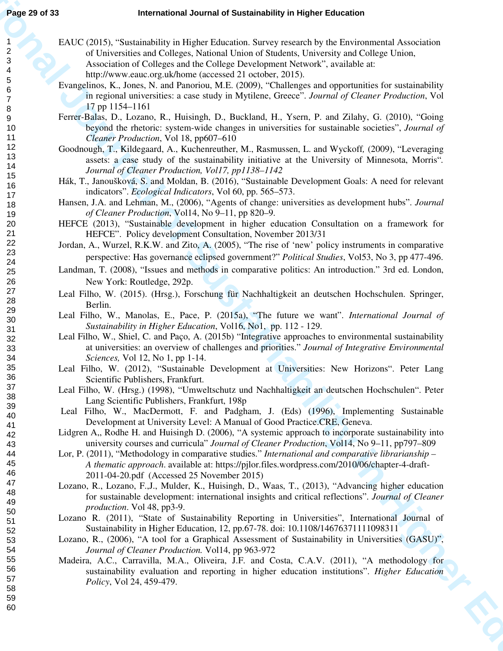- **<b>Fact 21 Of 13**<br> **International Journal of Sustainability in Higher Education<br>
In CAC (2015, Normal District Education Alle Colleges Denotes) and The President Colleges Denotes Denotes Denotes Denotes Denotes Denotes Den** EAUC (2015), "Sustainability in Higher Education. Survey research by the Environmental Association of Universities and Colleges, National Union of Students, University and College Union, Association of Colleges and the College Development Network", available at: http://www.eauc.org.uk/home (accessed 21 october, 2015).
	- Evangelinos, K., Jones, N. and Panoriou, M.E. (2009), "Challenges and opportunities for sustainability in regional universities: a case study in Mytilene, Greece". *Journal of Cleaner Production*, Vol 17 pp 1154–1161
	- Ferrer-Balas, D., Lozano, R., Huisingh, D., Buckland, H., Ysern, P. and Zilahy, G. (2010), "Going beyond the rhetoric: system-wide changes in universities for sustainable societies", *Journal of Cleaner Production*, Vol 18, pp607–610
	- Goodnough, T., Kildegaard, A., Kuchenreuther, M., Rasmussen, L. and Wyckoff*,* (2009), "Leveraging assets: a case study of the sustainability initiative at the University of Minnesota, Morris"*. Journal of Cleaner Production, Vol17, pp1138–1142*
	- Hák, T., Janoušková, S. and Moldan, B. (2016), "Sustainable Development Goals: A need for relevant indicators". *Ecological Indicators*, Vol 60, pp. 565–573.
	- Hansen, J.A. and Lehman, M., (2006), "Agents of change: universities as development hubs". *Journal of Cleaner Production*, Vol14, No 9–11, pp 820–9.
	- HEFCE (2013), "Sustainable development in higher education Consultation on a framework for HEFCE". Policy development Consultation, November 2013/31
	- Jordan, A., Wurzel, R.K.W. and Zito, A. (2005), "The rise of 'new' policy instruments in comparative perspective: Has governance eclipsed government?" *Political Studies*, Vol53, No 3, pp 477-496.
	- Landman, T. (2008), "Issues and methods in comparative politics: An introduction." 3rd ed. London, New York: Routledge, 292p.
	- Leal Filho, W. (2015). (Hrsg.), Forschung für Nachhaltigkeit an deutschen Hochschulen. Springer, Berlin.
	- Leal Filho, W., Manolas, E., Pace, P. (2015a), "The future we want". *International Journal of Sustainability in Higher Education*, Vol16, No1, pp. 112 - 129.
	- Leal Filho, W., Shiel, C. and Paço, A. (2015b) "Integrative approaches to environmental sustainability at universities: an overview of challenges and priorities." *Journal of Integrative Environmental Sciences,* Vol 12, No 1, pp 1-14.
	- Leal Filho, W. (2012), "Sustainable Development at Universities: New Horizons". Peter Lang Scientific Publishers, Frankfurt.
	- Leal Filho, W. (Hrsg.) (1998), "Umweltschutz und Nachhaltigkeit an deutschen Hochschulen". Peter Lang Scientific Publishers, Frankfurt, 198p
	- Leal Filho, W., MacDermott, F. and Padgham, J. (Eds) (1996), Implementing Sustainable Development at University Level: A Manual of Good Practice.CRE, Geneva.
	- Lidgren A,, Rodhe H. and Huisingh D. (2006), "A systemic approach to incorporate sustainability into university courses and curricula" *Journal of Cleaner Production*, Vol14, No 9–11, pp797–809
	- Lor, P. (2011), "Methodology in comparative studies." *International and comparative librarianship A thematic approach*. available at: https://pjlor.files.wordpress.com/2010/06/chapter-4-draft-2011-04-20.pdf (Accessed 25 November 2015)
	- Lozano, R., Lozano, F.,J., Mulder, K., Huisingh, D., Waas, T., (2013), "Advancing higher education for sustainable development: international insights and critical reflections". *Journal of Cleaner production*. Vol 48, pp3-9.
	- Lozano R. (2011), "State of Sustainability Reporting in Universities", International Journal of Sustainability in Higher Education, 12, pp.67-78. doi: 10.1108/14676371111098311
	- Lozano, R., (2006), "A tool for a Graphical Assessment of Sustainability in Universities (GASU)", *Journal of Cleaner Production.* Vol14, pp 963-972
	- Madeira, A.C., Carravilla, M.A., Oliveira, J.F. and Costa, C.A.V. (2011), "A methodology for sustainability evaluation and reporting in higher education institutions". *Higher Education Policy*, Vol 24, 459-479.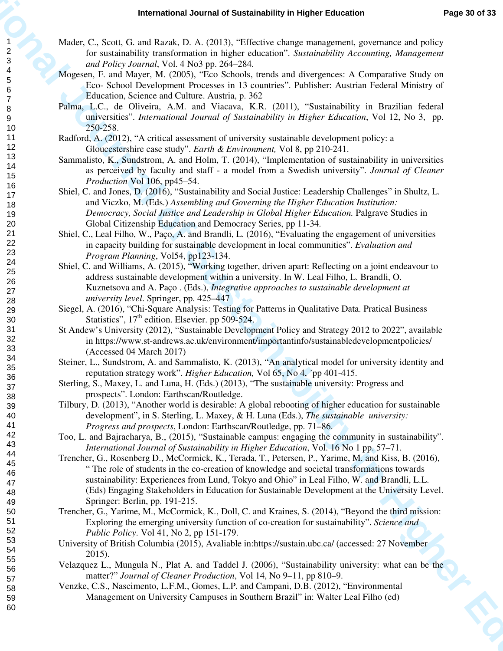- Mader, C., Scott, G. and Razak, D. A. (2013), "Effective change management, governance and policy for sustainability transformation in higher education". *Sustainability Accounting, Management and Policy Journal*, Vol. 4 No3 pp. 264–284.
- Mogesen, F. and Mayer, M. (2005), "Eco Schools, trends and divergences: A Comparative Study on Eco- School Development Processes in 13 countries". Publisher: Austrian Federal Ministry of Education, Science and Culture. Austria, p. 362
- Palma, L.C., de Oliveira, A.M. and Viacava, K.R. (2011), "Sustainability in Brazilian federal universities". *International Journal of Sustainability in Higher Education*, Vol 12, No 3, pp. 250-258.
- Radford, A. (2012), "A critical assessment of university sustainable development policy: a Gloucestershire case study". *Earth & Environment,* Vol 8, pp 210-241.
- Sammalisto, K., Sundstrom, A. and Holm, T. (2014), "Implementation of sustainability in universities as perceived by faculty and staff - a model from a Swedish university". *Journal of Cleaner Production* Vol 106, pp45–54.
- Shiel, C. and Jones, D. (2016), "Sustainability and Social Justice: Leadership Challenges" in Shultz, L. and Viczko, M. (Eds.) *Assembling and Governing the Higher Education Institution: Democracy, Social Justice and Leadership in Global Higher Education.* Palgrave Studies in Global Citizenship Education and Democracy Series, pp 11-34.
- Shiel, C., Leal Filho, W., Paço, A. and Brandli, L. (2016), "Evaluating the engagement of universities in capacity building for sustainable development in local communities". *Evaluation and Program Planning*, Vol54, pp123-134.
- Shiel, C. and Williams, A. (2015), "Working together, driven apart: Reflecting on a joint endeavour to address sustainable development within a university. In W. Leal Filho, L. Brandli, O. Kuznetsova and A. Paço . (Eds.), *Integrative approaches to sustainable development at university level*. Springer, pp. 425–447
- Siegel, A. (2016), "Chi-Square Analysis: Testing for Patterns in Qualitative Data. Pratical Business Statistics", 17<sup>th</sup> edition. Elsevier. pp 509-524.
- St Andew's University (2012), "Sustainable Development Policy and Strategy 2012 to 2022", available in https://www.st-andrews.ac.uk/environment/importantinfo/sustainabledevelopmentpolicies/ (Accessed 04 March 2017)
- Steiner, L., Sundstrom, A. and Sammalisto, K. (2013), "An analytical model for university identity and reputation strategy work". *Higher Education,* Vol 65, No 4, ´pp 401-415.
- Sterling, S., Maxey, L. and Luna, H. (Eds.) (2013), "The sustainable university: Progress and prospects". London: Earthscan/Routledge.
- Tilbury, D. (2013), "Another world is desirable: A global rebooting of higher education for sustainable development", in S. Sterling, L. Maxey, & H. Luna (Eds.), *The sustainable university: Progress and prospects*, London: Earthscan/Routledge, pp. 71–86.
- Too, L. and Bajracharya, B., (2015), "Sustainable campus: engaging the community in sustainability". *International Journal of Sustainability in Higher Education*, Vol. 16 No 1 pp. 57–71.
- **International Journal of Sustainability in Higher Education<br>
1944 Context Context Context Context Context Context Context Context Context Context Context Context Context Context Context Context Context Context Context Co** Trencher, G., Rosenberg D., McCormick, K., Terada, T., Petersen, P., Yarime, M. and Kiss, B. (2016), " The role of students in the co-creation of knowledge and societal transformations towards sustainability: Experiences from Lund, Tokyo and Ohio" in Leal Filho, W. and Brandli, L.L. (Eds) Engaging Stakeholders in Education for Sustainable Development at the University Level. Springer: Berlin, pp. 191-215.
	- Trencher, G., Yarime, M., McCormick, K., Doll, C. and Kraines, S. (2014), "Beyond the third mission: Exploring the emerging university function of co-creation for sustainability". *Science and Public Policy*. Vol 41, No 2, pp 151-179.
	- University of British Columbia (2015), Avaliable in:https://sustain.ubc.ca/ (accessed: 27 November 2015).
	- Velazquez L., Mungula N., Plat A. and Taddel J. (2006), "Sustainability university: what can be the matter?" *Journal of Cleaner Production*, Vol 14, No 9–11, pp 810–9.
	- Venzke, C.S., Nascimento, L.F.M., Gomes, L.P. and Campani, D.B. (2012), "Environmental Management on University Campuses in Southern Brazil" in: Walter Leal Filho (ed)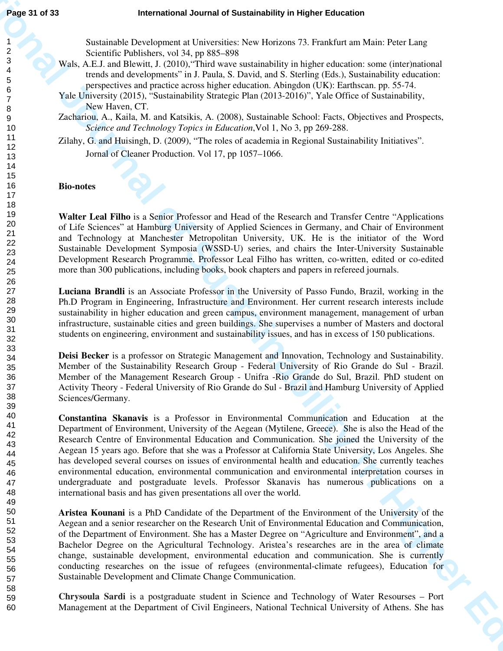Sustainable Development at Universities: New Horizons 73. Frankfurt am Main: Peter Lang Scientific Publishers, vol 34, pp 885–898

- Wals, A.E.J. and Blewitt, J. (2010),"Third wave sustainability in higher education: some (inter)national trends and developments" in J. Paula, S. David, and S. Sterling (Eds.), Sustainability education: perspectives and practice across higher education. Abingdon (UK): Earthscan. pp. 55-74.
- Yale University (2015), "Sustainability Strategic Plan (2013-2016)", Yale Office of Sustainability, New Haven, CT.
- Zachariou, A., Kaila, M. and Katsikis, A. (2008), Sustainable School: Facts, Objectives and Prospects, *Science and Technology Topics in Education*,Vol 1, No 3, pp 269-288.

Zilahy, G. and Huisingh, D. (2009), "The roles of academia in Regional Sustainability Initiatives". Jornal of Cleaner Production. Vol 17, pp 1057–1066.

# **Bio-notes**

**Walter Leal Filho** is a Senior Professor and Head of the Research and Transfer Centre "Applications of Life Sciences" at Hamburg University of Applied Sciences in Germany, and Chair of Environment and Technology at Manchester Metropolitan University, UK. He is the initiator of the Word Sustainable Development Symposia (WSSD-U) series, and chairs the Inter-University Sustainable Development Research Programme. Professor Leal Filho has written, co-written, edited or co-edited more than 300 publications, including books, book chapters and papers in refereed journals.

**Luciana Brandli** is an Associate Professor in the University of Passo Fundo, Brazil, working in the Ph.D Program in Engineering, Infrastructure and Environment. Her current research interests include sustainability in higher education and green campus, environment management, management of urban infrastructure, sustainable cities and green buildings. She supervises a number of Masters and doctoral students on engineering, environment and sustainability issues, and has in excess of 150 publications.

**Deisi Becker** is a professor on Strategic Management and Innovation, Technology and Sustainability. Member of the Sustainability Research Group - Federal University of Rio Grande do Sul - Brazil. Member of the Management Research Group - Unifra -Rio Grande do Sul, Brazil. PhD student on Activity Theory - Federal University of Rio Grande do Sul - Brazil and Hamburg University of Applied Sciences/Germany.

**Page 31 of 33**<br> **International Development of Sustainability in Higher Education 22.<br>
<b>Solution** Development of the realistic New Technical New York (1998). The first in Higher Consider the Real Value of the respective o **Constantina Skanavis** is a Professor in Environmental Communication and Education at the Department of Environment, University of the Aegean (Mytilene, Greece). She is also the Head of the Research Centre of Environmental Education and Communication. She joined the University of the Aegean 15 years ago. Before that she was a Professor at California State University, Los Angeles. She has developed several courses on issues of environmental health and education. She currently teaches environmental education, environmental communication and environmental interpretation courses in undergraduate and postgraduate levels. Professor Skanavis has numerous publications on a international basis and has given presentations all over the world.

**Aristea Kounani** is a PhD Candidate of the Department of the Environment of the University of the Aegean and a senior researcher on the Research Unit of Environmental Education and Communication, of the Department of Environment. She has a Master Degree on "Agriculture and Environment", and a Bachelor Degree on the Agricultural Technology. Aristea's researches are in the area of climate change, sustainable development, environmental education and communication. She is currently conducting researches on the issue of refugees (environmental-climate refugees), Education for Sustainable Development and Climate Change Communication.

**Chrysoula Sardi** is a postgraduate student in Science and Technology of Water Resourses – Port Management at the Department of Civil Engineers, National Technical University of Athens. She has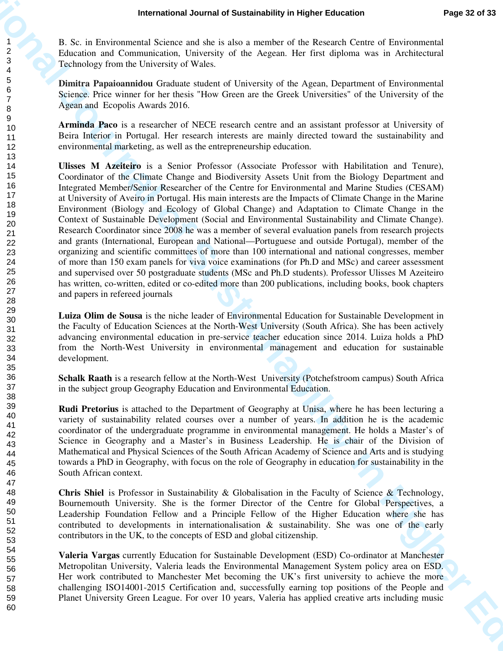B. Sc. in Environmental Science and she is also a member of the Research Centre of Environmental Education and Communication, University of the Aegean. Her first diploma was in Architectural Technology from the University of Wales.

**Dimitra Papaioannidou** Graduate student of University of the Agean, Department of Environmental Science. Price winner for her thesis "How Green are the Greek Universities" of the University of the Agean and Ecopolis Awards 2016.

**Arminda Paco** is a researcher of NECE research centre and an assistant professor at University of Beira Interior in Portugal. Her research interests are mainly directed toward the sustainability and environmental marketing, as well as the entrepreneurship education.

**ISENTIFY INTERFACTION CONTRACTS ACTOR CONTRACTS (SECURE CONTRACTS ACTOR CONTRACTS ACTOR CONTRACTS (SECURE ACTOR CONTRACTS ACTOR CONTRACTS ACTOR CONTRACTS (SECURE ACTOR CONTRACTS ACTOR CONTRACTS ACTOR CONTRACTS (SECURE ACT Ulisses M Azeiteiro** is a Senior Professor (Associate Professor with Habilitation and Tenure), Coordinator of the Climate Change and Biodiversity Assets Unit from the Biology Department and Integrated Member/Senior Researcher of the Centre for Environmental and Marine Studies (CESAM) at University of Aveiro in Portugal. His main interests are the Impacts of Climate Change in the Marine Environment (Biology and Ecology of Global Change) and Adaptation to Climate Change in the Context of Sustainable Development (Social and Environmental Sustainability and Climate Change). Research Coordinator since 2008 he was a member of several evaluation panels from research projects and grants (International, European and National—Portuguese and outside Portugal), member of the organizing and scientific committees of more than 100 international and national congresses, member of more than 150 exam panels for viva voice examinations (for Ph.D and MSc) and career assessment and supervised over 50 postgraduate students (MSc and Ph.D students). Professor Ulisses M Azeiteiro has written, co-written, edited or co-edited more than 200 publications, including books, book chapters and papers in refereed journals

**Luiza Olim de Sousa** is the niche leader of Environmental Education for Sustainable Development in the Faculty of Education Sciences at the North-West University (South Africa). She has been actively advancing environmental education in pre-service teacher education since 2014. Luiza holds a PhD from the North-West University in environmental management and education for sustainable development.

**Schalk Raath** is a research fellow at the North-West University (Potchefstroom campus) South Africa in the subject group Geography Education and Environmental Education.

**Rudi Pretorius** is attached to the Department of Geography at Unisa, where he has been lecturing a variety of sustainability related courses over a number of years. In addition he is the academic coordinator of the undergraduate programme in environmental management. He holds a Master's of Science in Geography and a Master's in Business Leadership. He is chair of the Division of Mathematical and Physical Sciences of the South African Academy of Science and Arts and is studying towards a PhD in Geography, with focus on the role of Geography in education for sustainability in the South African context.

**Chris Shiel** is Professor in Sustainability & Globalisation in the Faculty of Science & Technology, Bournemouth University. She is the former Director of the Centre for Global Perspectives, a Leadership Foundation Fellow and a Principle Fellow of the Higher Education where she has contributed to developments in internationalisation & sustainability. She was one of the early contributors in the UK, to the concepts of ESD and global citizenship.

**Valeria Vargas** currently Education for Sustainable Development (ESD) Co-ordinator at Manchester Metropolitan University, Valeria leads the Environmental Management System policy area on ESD. Her work contributed to Manchester Met becoming the UK's first university to achieve the more challenging ISO14001-2015 Certification and, successfully earning top positions of the People and Planet University Green League. For over 10 years, Valeria has applied creative arts including music